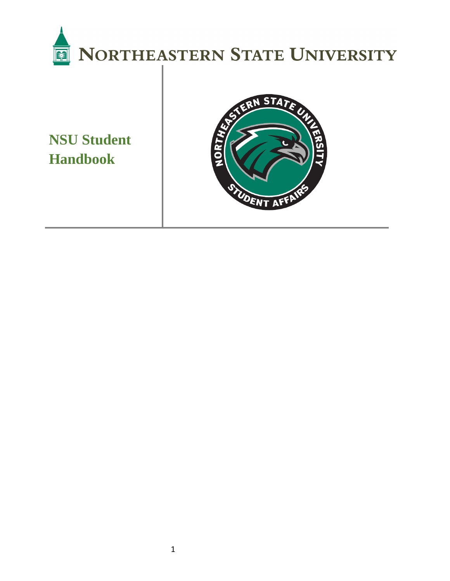

**NSU Student Handbook**

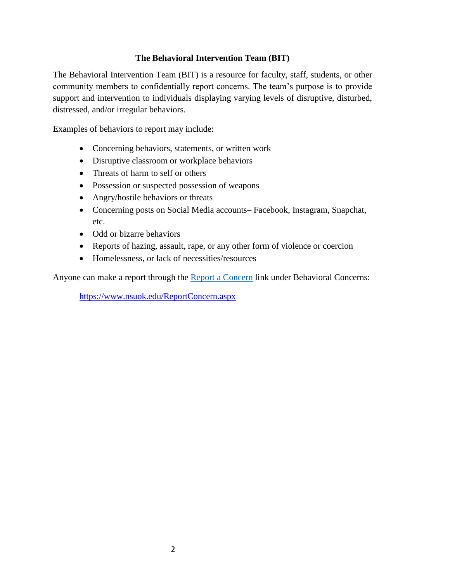#### **The Behavioral Intervention Team (BIT)**

The Behavioral Intervention Team (BIT) is a resource for faculty, staff, students, or other community members to confidentially report concerns. The team's purpose is to provide support and intervention to individuals displaying varying levels of disruptive, disturbed, distressed, and/or irregular behaviors.

Examples of behaviors to report may include:

- Concerning behaviors, statements, or written work
- Disruptive classroom or workplace behaviors
- Threats of harm to self or others
- Possession or suspected possession of weapons
- Angry/hostile behaviors or threats
- Concerning posts on Social Media accounts– Facebook, Instagram, Snapchat, etc.
- Odd or bizarre behaviors
- Reports of hazing, assault, rape, or any other form of violence or coercion
- Homelessness, or lack of necessities/resources

Anyone can make a report through the [Report a Concern](https://www.nsuok.edu/ReportConcern.aspx) link under Behavioral Concerns:

<https://www.nsuok.edu/ReportConcern.aspx>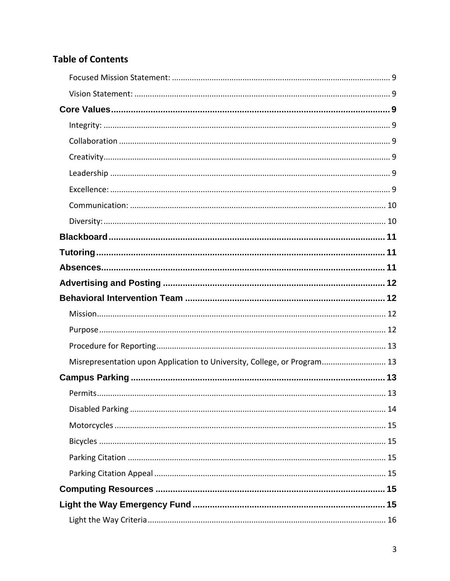### **Table of Contents**

| Misrepresentation upon Application to University, College, or Program 13 |  |
|--------------------------------------------------------------------------|--|
|                                                                          |  |
|                                                                          |  |
|                                                                          |  |
|                                                                          |  |
|                                                                          |  |
|                                                                          |  |
|                                                                          |  |
|                                                                          |  |
|                                                                          |  |
|                                                                          |  |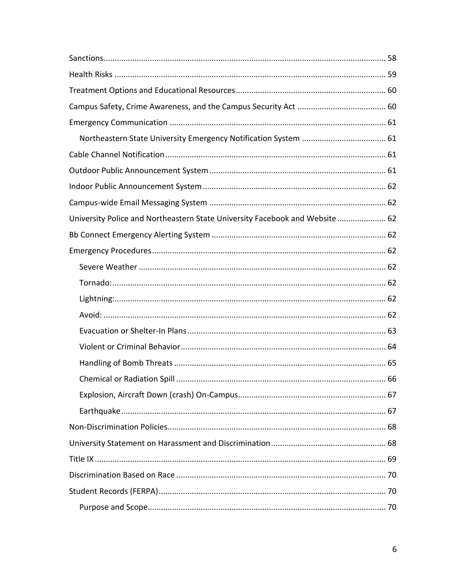| University Police and Northeastern State University Facebook and Website 62 |    |
|-----------------------------------------------------------------------------|----|
|                                                                             |    |
|                                                                             |    |
|                                                                             |    |
|                                                                             |    |
|                                                                             |    |
|                                                                             |    |
|                                                                             |    |
|                                                                             |    |
|                                                                             |    |
|                                                                             | 66 |
|                                                                             |    |
|                                                                             |    |
|                                                                             |    |
|                                                                             |    |
|                                                                             |    |
|                                                                             |    |
|                                                                             |    |
|                                                                             |    |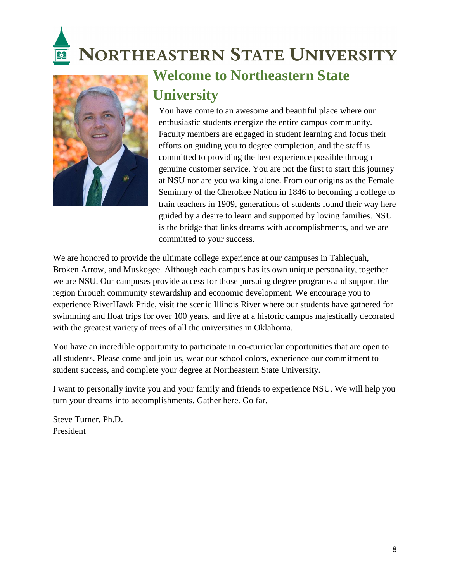# **NORTHEASTERN STATE UNIVERSITY**



# **Welcome to Northeastern State University**

You have come to an awesome and beautiful place where our enthusiastic students energize the entire campus community. Faculty members are engaged in student learning and focus their efforts on guiding you to degree completion, and the staff is committed to providing the best experience possible through genuine customer service. You are not the first to start this journey at NSU nor are you walking alone. From our origins as the Female Seminary of the Cherokee Nation in 1846 to becoming a college to train teachers in 1909, generations of students found their way here guided by a desire to learn and supported by loving families. NSU is the bridge that links dreams with accomplishments, and we are committed to your success.

We are honored to provide the ultimate college experience at our campuses in Tahlequah, Broken Arrow, and Muskogee. Although each campus has its own unique personality, together we are NSU. Our campuses provide access for those pursuing degree programs and support the region through community stewardship and economic development. We encourage you to experience RiverHawk Pride, visit the scenic Illinois River where our students have gathered for swimming and float trips for over 100 years, and live at a historic campus majestically decorated with the greatest variety of trees of all the universities in Oklahoma.

You have an incredible opportunity to participate in co-curricular opportunities that are open to all students. Please come and join us, wear our school colors, experience our commitment to student success, and complete your degree at Northeastern State University.

I want to personally invite you and your family and friends to experience NSU. We will help you turn your dreams into accomplishments. Gather here. Go far.

Steve Turner, Ph.D. President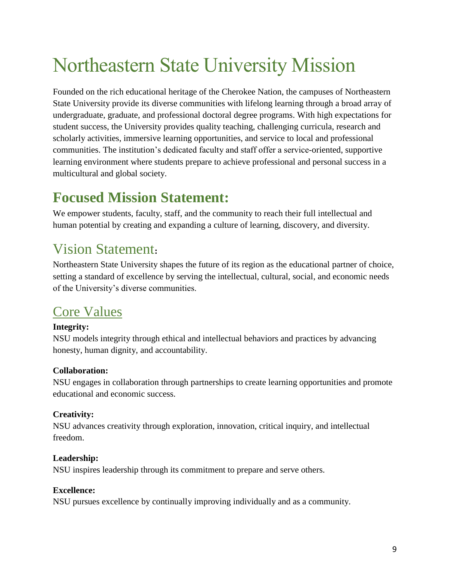# Northeastern State University Mission

Founded on the rich educational heritage of the Cherokee Nation, the campuses of Northeastern State University provide its diverse communities with lifelong learning through a broad array of undergraduate, graduate, and professional doctoral degree programs. With high expectations for student success, the University provides quality teaching, challenging curricula, research and scholarly activities, immersive learning opportunities, and service to local and professional communities. The institution's dedicated faculty and staff offer a service-oriented, supportive learning environment where students prepare to achieve professional and personal success in a multicultural and global society.

# <span id="page-8-0"></span>**Focused Mission Statement:**

We empower students, faculty, staff, and the community to reach their full intellectual and human potential by creating and expanding a culture of learning, discovery, and diversity.

# <span id="page-8-1"></span>Vision Statement**:**

Northeastern State University shapes the future of its region as the educational partner of choice, setting a standard of excellence by serving the intellectual, cultural, social, and economic needs of the University's diverse communities.

### <span id="page-8-2"></span>Core Values

#### <span id="page-8-3"></span>**Integrity:**

NSU models integrity through ethical and intellectual behaviors and practices by advancing honesty, human dignity, and accountability.

#### <span id="page-8-4"></span>**Collaboration:**

NSU engages in collaboration through partnerships to create learning opportunities and promote educational and economic success.

#### <span id="page-8-5"></span>**Creativity:**

NSU advances creativity through exploration, innovation, critical inquiry, and intellectual freedom.

#### <span id="page-8-6"></span>**Leadership:**

NSU inspires leadership through its commitment to prepare and serve others.

#### <span id="page-8-7"></span>**Excellence:**

NSU pursues excellence by continually improving individually and as a community.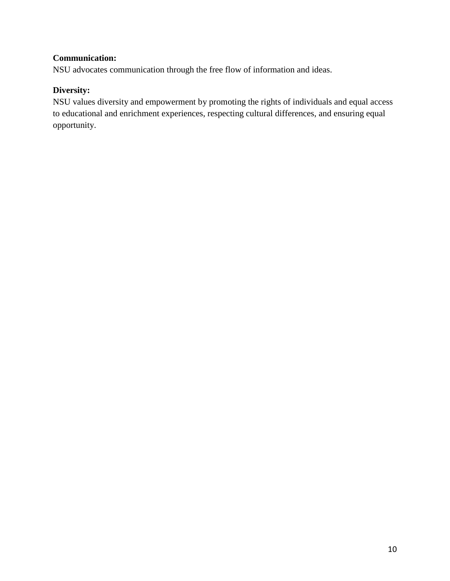#### <span id="page-9-0"></span>**Communication:**

NSU advocates communication through the free flow of information and ideas.

#### <span id="page-9-1"></span>**Diversity:**

NSU values diversity and empowerment by promoting the rights of individuals and equal access to educational and enrichment experiences, respecting cultural differences, and ensuring equal opportunity.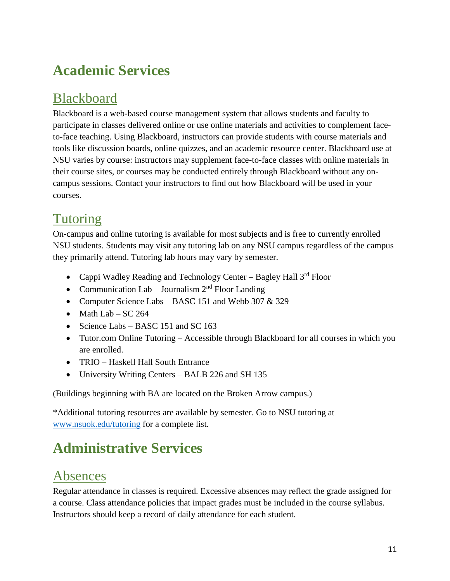# **Academic Services**

### <span id="page-10-0"></span>**Blackboard**

Blackboard is a web-based course management system that allows students and faculty to participate in classes delivered online or use online materials and activities to complement faceto-face teaching. Using Blackboard, instructors can provide students with course materials and tools like discussion boards, online quizzes, and an academic resource center. Blackboard use at NSU varies by course: instructors may supplement face-to-face classes with online materials in their course sites, or courses may be conducted entirely through Blackboard without any oncampus sessions. Contact your instructors to find out how Blackboard will be used in your courses.

## <span id="page-10-1"></span>Tutoring

On-campus and online tutoring is available for most subjects and is free to currently enrolled NSU students. Students may visit any tutoring lab on any NSU campus regardless of the campus they primarily attend. Tutoring lab hours may vary by semester.

- Cappi Wadley Reading and Technology Center Bagley Hall 3rd Floor
- Communication Lab Journalism  $2<sup>nd</sup>$  Floor Landing
- Computer Science Labs BASC 151 and Webb 307 & 329
- Math Lab  $SC$  264
- Science Labs BASC 151 and SC 163
- Tutor.com Online Tutoring Accessible through Blackboard for all courses in which you are enrolled.
- TRIO Haskell Hall South Entrance
- University Writing Centers BALB 226 and SH 135

(Buildings beginning with BA are located on the Broken Arrow campus.)

\*Additional tutoring resources are available by semester. Go to NSU tutoring at [www.nsuok.edu/tutoring](http://www.nsuok.edu/tutoring) for a complete list.

# **Administrative Services**

### <span id="page-10-2"></span>Absences

Regular attendance in classes is required. Excessive absences may reflect the grade assigned for a course. Class attendance policies that impact grades must be included in the course syllabus. Instructors should keep a record of daily attendance for each student.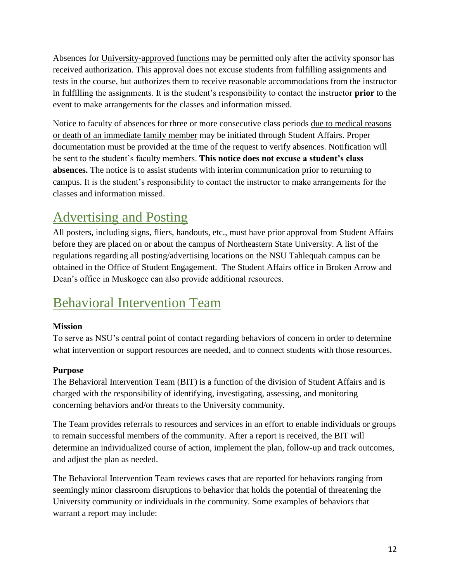Absences for University-approved functions may be permitted only after the activity sponsor has received authorization. This approval does not excuse students from fulfilling assignments and tests in the course, but authorizes them to receive reasonable accommodations from the instructor in fulfilling the assignments. It is the student's responsibility to contact the instructor **prior** to the event to make arrangements for the classes and information missed.

Notice to faculty of absences for three or more consecutive class periods due to medical reasons or death of an immediate family member may be initiated through Student Affairs. Proper documentation must be provided at the time of the request to verify absences. Notification will be sent to the student's faculty members. **This notice does not excuse a student's class absences.** The notice is to assist students with interim communication prior to returning to campus. It is the student's responsibility to contact the instructor to make arrangements for the classes and information missed.

### <span id="page-11-0"></span>Advertising and Posting

All posters, including signs, fliers, handouts, etc., must have prior approval from Student Affairs before they are placed on or about the campus of Northeastern State University. A list of the regulations regarding all posting/advertising locations on the NSU Tahlequah campus can be obtained in the Office of Student Engagement. The Student Affairs office in Broken Arrow and Dean's office in Muskogee can also provide additional resources.

## <span id="page-11-1"></span>Behavioral Intervention Team

#### <span id="page-11-2"></span>**Mission**

To serve as NSU's central point of contact regarding behaviors of concern in order to determine what intervention or support resources are needed, and to connect students with those resources.

#### <span id="page-11-3"></span>**Purpose**

The Behavioral Intervention Team (BIT) is a function of the division of Student Affairs and is charged with the responsibility of identifying, investigating, assessing, and monitoring concerning behaviors and/or threats to the University community.

The Team provides referrals to resources and services in an effort to enable individuals or groups to remain successful members of the community. After a report is received, the BIT will determine an individualized course of action, implement the plan, follow-up and track outcomes, and adjust the plan as needed.

The Behavioral Intervention Team reviews cases that are reported for behaviors ranging from seemingly minor classroom disruptions to behavior that holds the potential of threatening the University community or individuals in the community. Some examples of behaviors that warrant a report may include: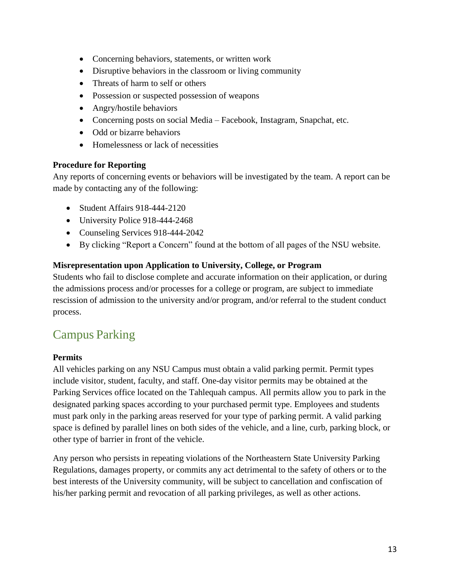- Concerning behaviors, statements, or written work
- Disruptive behaviors in the classroom or living community
- Threats of harm to self or others
- Possession or suspected possession of weapons
- Angry/hostile behaviors
- Concerning posts on social Media Facebook, Instagram, Snapchat, etc.
- Odd or bizarre behaviors
- Homelessness or lack of necessities

#### <span id="page-12-0"></span>**Procedure for Reporting**

Any reports of concerning events or behaviors will be investigated by the team. A report can be made by contacting any of the following:

- Student Affairs 918-444-2120
- University Police 918-444-2468
- Counseling Services 918-444-2042
- By clicking "Report a Concern" found at the bottom of all pages of the NSU website.

#### <span id="page-12-1"></span>**Misrepresentation upon Application to University, College, or Program**

Students who fail to disclose complete and accurate information on their application, or during the admissions process and/or processes for a college or program, are subject to immediate rescission of admission to the university and/or program, and/or referral to the student conduct process.

### <span id="page-12-2"></span>Campus Parking

#### <span id="page-12-3"></span>**Permits**

All vehicles parking on any NSU Campus must obtain a valid parking permit. Permit types include visitor, student, faculty, and staff. One-day visitor permits may be obtained at the Parking Services office located on the Tahlequah campus. All permits allow you to park in the designated parking spaces according to your purchased permit type. Employees and students must park only in the parking areas reserved for your type of parking permit. A valid parking space is defined by parallel lines on both sides of the vehicle, and a line, curb, parking block, or other type of barrier in front of the vehicle.

Any person who persists in repeating violations of the Northeastern State University Parking Regulations, damages property, or commits any act detrimental to the safety of others or to the best interests of the University community, will be subject to cancellation and confiscation of his/her parking permit and revocation of all parking privileges, as well as other actions.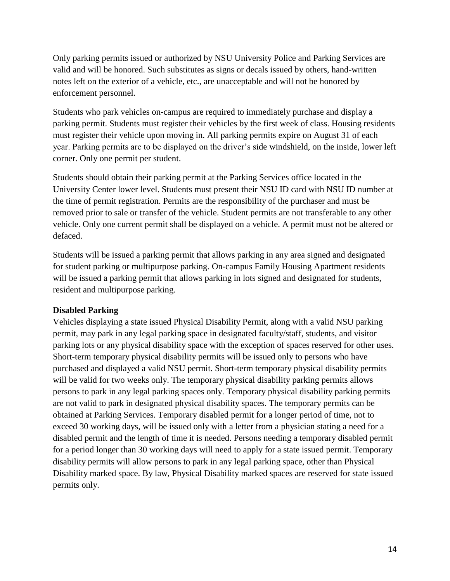Only parking permits issued or authorized by NSU University Police and Parking Services are valid and will be honored. Such substitutes as signs or decals issued by others, hand-written notes left on the exterior of a vehicle, etc., are unacceptable and will not be honored by enforcement personnel.

Students who park vehicles on-campus are required to immediately purchase and display a parking permit. Students must register their vehicles by the first week of class. Housing residents must register their vehicle upon moving in. All parking permits expire on August 31 of each year. Parking permits are to be displayed on the driver's side windshield, on the inside, lower left corner. Only one permit per student.

Students should obtain their parking permit at the Parking Services office located in the University Center lower level. Students must present their NSU ID card with NSU ID number at the time of permit registration. Permits are the responsibility of the purchaser and must be removed prior to sale or transfer of the vehicle. Student permits are not transferable to any other vehicle. Only one current permit shall be displayed on a vehicle. A permit must not be altered or defaced.

Students will be issued a parking permit that allows parking in any area signed and designated for student parking or multipurpose parking. On-campus Family Housing Apartment residents will be issued a parking permit that allows parking in lots signed and designated for students, resident and multipurpose parking.

#### <span id="page-13-0"></span>**Disabled Parking**

Vehicles displaying a state issued Physical Disability Permit, along with a valid NSU parking permit, may park in any legal parking space in designated faculty/staff, students, and visitor parking lots or any physical disability space with the exception of spaces reserved for other uses. Short-term temporary physical disability permits will be issued only to persons who have purchased and displayed a valid NSU permit. Short-term temporary physical disability permits will be valid for two weeks only. The temporary physical disability parking permits allows persons to park in any legal parking spaces only. Temporary physical disability parking permits are not valid to park in designated physical disability spaces. The temporary permits can be obtained at Parking Services. Temporary disabled permit for a longer period of time, not to exceed 30 working days, will be issued only with a letter from a physician stating a need for a disabled permit and the length of time it is needed. Persons needing a temporary disabled permit for a period longer than 30 working days will need to apply for a state issued permit. Temporary disability permits will allow persons to park in any legal parking space, other than Physical Disability marked space. By law, Physical Disability marked spaces are reserved for state issued permits only.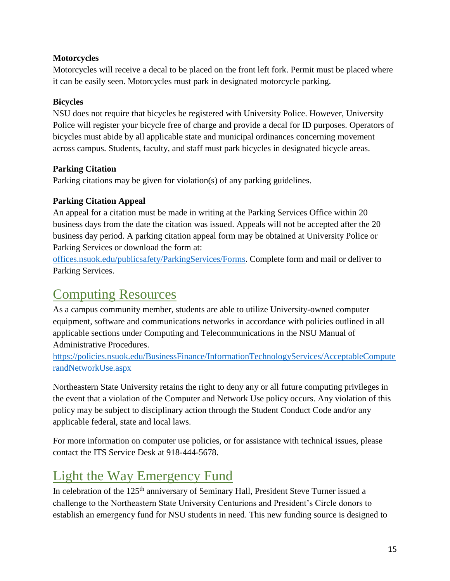#### <span id="page-14-0"></span>**Motorcycles**

Motorcycles will receive a decal to be placed on the front left fork. Permit must be placed where it can be easily seen. Motorcycles must park in designated motorcycle parking.

#### <span id="page-14-1"></span>**Bicycles**

NSU does not require that bicycles be registered with University Police. However, University Police will register your bicycle free of charge and provide a decal for ID purposes. Operators of bicycles must abide by all applicable state and municipal ordinances concerning movement across campus. Students, faculty, and staff must park bicycles in designated bicycle areas.

#### <span id="page-14-2"></span>**Parking Citation**

Parking citations may be given for violation(s) of any parking guidelines.

#### <span id="page-14-3"></span>**Parking Citation Appeal**

An appeal for a citation must be made in writing at the Parking Services Office within 20 business days from the date the citation was issued. Appeals will not be accepted after the 20 business day period. A parking citation appeal form may be obtained at University Police or Parking Services or download the form at:

[offices.nsuok.edu/publicsafety/ParkingServices/Forms.](https://offices.nsuok.edu/publicsafety/ParkingServices/Forms.aspx) Complete form and mail or deliver to Parking Services.

### <span id="page-14-4"></span>Computing Resources

As a campus community member, students are able to utilize University-owned computer equipment, software and communications networks in accordance with policies outlined in all applicable sections under Computing and Telecommunications in the NSU Manual of Administrative Procedures.

[https://policies.nsuok.edu/BusinessFinance/InformationTechnologyServices/AcceptableCompute](https://policies.nsuok.edu/BusinessFinance/InformationTechnologyServices/AcceptableComputerandNetworkUse.aspx) [randNetworkUse.aspx](https://policies.nsuok.edu/BusinessFinance/InformationTechnologyServices/AcceptableComputerandNetworkUse.aspx)

Northeastern State University retains the right to deny any or all future computing privileges in the event that a violation of the Computer and Network Use policy occurs. Any violation of this policy may be subject to disciplinary action through the Student Conduct Code and/or any applicable federal, state and local laws.

For more information on computer use policies, or for assistance with technical issues, please contact the ITS Service Desk at 918-444-5678.

# <span id="page-14-5"></span>Light the Way Emergency Fund

In celebration of the 125<sup>th</sup> anniversary of Seminary Hall, President Steve Turner issued a challenge to the Northeastern State University Centurions and President's Circle donors to establish an emergency fund for NSU students in need. This new funding source is designed to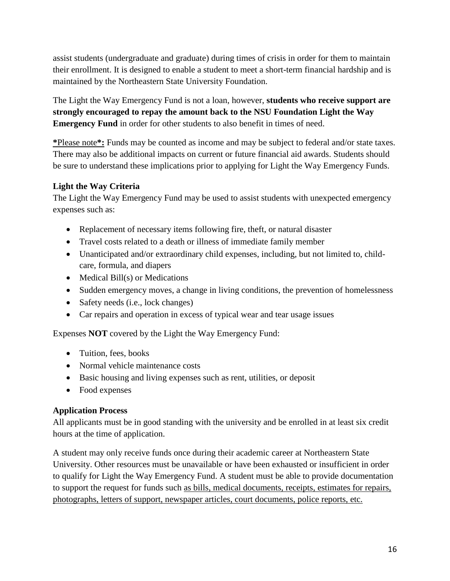assist students (undergraduate and graduate) during times of crisis in order for them to maintain their enrollment. It is designed to enable a student to meet a short-term financial hardship and is maintained by the Northeastern State University Foundation.

The Light the Way Emergency Fund is not a loan, however, **students who receive support are strongly encouraged to repay the amount back to the NSU Foundation Light the Way Emergency Fund** in order for other students to also benefit in times of need.

**\***Please note**\*:** Funds may be counted as income and may be subject to federal and/or state taxes. There may also be additional impacts on current or future financial aid awards. Students should be sure to understand these implications prior to applying for Light the Way Emergency Funds.

#### <span id="page-15-0"></span>**Light the Way Criteria**

The Light the Way Emergency Fund may be used to assist students with unexpected emergency expenses such as:

- Replacement of necessary items following fire, theft, or natural disaster
- Travel costs related to a death or illness of immediate family member
- Unanticipated and/or extraordinary child expenses, including, but not limited to, childcare, formula, and diapers
- Medical Bill(s) or Medications
- Sudden emergency moves, a change in living conditions, the prevention of homelessness
- Safety needs (i.e., lock changes)
- Car repairs and operation in excess of typical wear and tear usage issues

Expenses **NOT** covered by the Light the Way Emergency Fund:

- Tuition, fees, books
- Normal vehicle maintenance costs
- Basic housing and living expenses such as rent, utilities, or deposit
- Food expenses

#### <span id="page-15-1"></span>**Application Process**

All applicants must be in good standing with the university and be enrolled in at least six credit hours at the time of application.

A student may only receive funds once during their academic career at Northeastern State University. Other resources must be unavailable or have been exhausted or insufficient in order to qualify for Light the Way Emergency Fund. A student must be able to provide documentation to support the request for funds such as bills, medical documents, receipts, estimates for repairs, photographs, letters of support, newspaper articles, court documents, police reports, etc.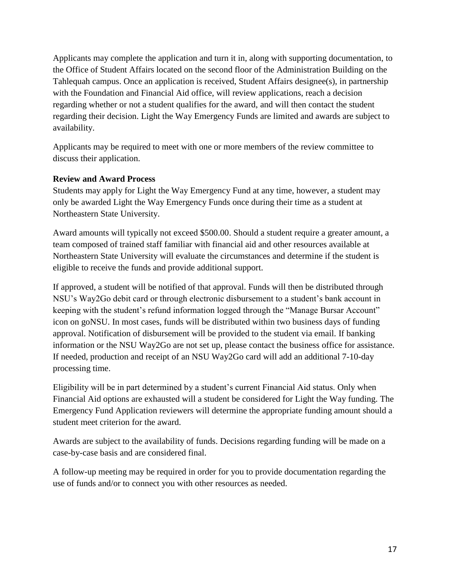Applicants may complete the application and turn it in, along with supporting documentation, to the Office of Student Affairs located on the second floor of the Administration Building on the Tahlequah campus. Once an application is received, Student Affairs designee(s), in partnership with the Foundation and Financial Aid office, will review applications, reach a decision regarding whether or not a student qualifies for the award, and will then contact the student regarding their decision. Light the Way Emergency Funds are limited and awards are subject to availability.

Applicants may be required to meet with one or more members of the review committee to discuss their application.

#### <span id="page-16-0"></span>**Review and Award Process**

Students may apply for Light the Way Emergency Fund at any time, however, a student may only be awarded Light the Way Emergency Funds once during their time as a student at Northeastern State University.

Award amounts will typically not exceed \$500.00. Should a student require a greater amount, a team composed of trained staff familiar with financial aid and other resources available at Northeastern State University will evaluate the circumstances and determine if the student is eligible to receive the funds and provide additional support.

If approved, a student will be notified of that approval. Funds will then be distributed through NSU's Way2Go debit card or through electronic disbursement to a student's bank account in keeping with the student's refund information logged through the "Manage Bursar Account" icon on goNSU. In most cases, funds will be distributed within two business days of funding approval. Notification of disbursement will be provided to the student via email. If banking information or the NSU Way2Go are not set up, please contact the business office for assistance. If needed, production and receipt of an NSU Way2Go card will add an additional 7-10-day processing time.

Eligibility will be in part determined by a student's current Financial Aid status. Only when Financial Aid options are exhausted will a student be considered for Light the Way funding. The Emergency Fund Application reviewers will determine the appropriate funding amount should a student meet criterion for the award.

Awards are subject to the availability of funds. Decisions regarding funding will be made on a case-by-case basis and are considered final.

A follow-up meeting may be required in order for you to provide documentation regarding the use of funds and/or to connect you with other resources as needed.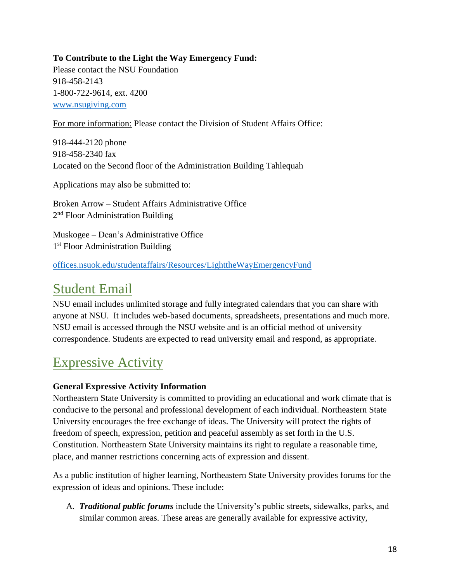#### <span id="page-17-0"></span>**To Contribute to the Light the Way Emergency Fund:**

Please contact the NSU Foundation 918-458-2143 1-800-722-9614, ext. 4200 [www.nsugiving.com](http://www.nsugiving.com/)

For more information: Please contact the Division of Student Affairs Office:

918-444-2120 phone 918-458-2340 fax Located on the Second floor of the Administration Building Tahlequah

Applications may also be submitted to:

Broken Arrow – Student Affairs Administrative Office 2<sup>nd</sup> Floor Administration Building

Muskogee – Dean's Administrative Office 1<sup>st</sup> Floor Administration Building

[offices.nsuok.edu/studentaffairs/Resources/LighttheWayEmergencyFund](https://offices.nsuok.edu/studentaffairs/Resources/LighttheWayEmergencyFund.aspx)

### <span id="page-17-1"></span>Student Email

NSU email includes unlimited storage and fully integrated calendars that you can share with anyone at NSU. It includes web-based documents, spreadsheets, presentations and much more. NSU email is accessed through the NSU website and is an official method of university correspondence. Students are expected to read university email and respond, as appropriate.

## <span id="page-17-2"></span>Expressive Activity

#### <span id="page-17-3"></span>**General Expressive Activity Information**

Northeastern State University is committed to providing an educational and work climate that is conducive to the personal and professional development of each individual. Northeastern State University encourages the free exchange of ideas. The University will protect the rights of freedom of speech, expression, petition and peaceful assembly as set forth in the U.S. Constitution. Northeastern State University maintains its right to regulate a reasonable time, place, and manner restrictions concerning acts of expression and dissent.

As a public institution of higher learning, Northeastern State University provides forums for the expression of ideas and opinions. These include:

A. *Traditional public forums* include the University's public streets, sidewalks, parks, and similar common areas. These areas are generally available for expressive activity,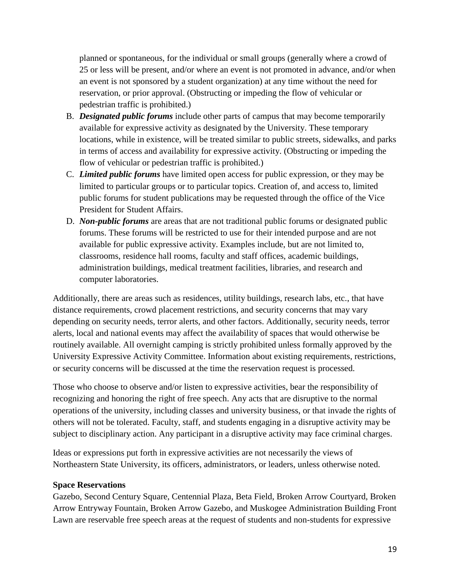planned or spontaneous, for the individual or small groups (generally where a crowd of 25 or less will be present, and/or where an event is not promoted in advance, and/or when an event is not sponsored by a student organization) at any time without the need for reservation, or prior approval. (Obstructing or impeding the flow of vehicular or pedestrian traffic is prohibited.)

- B. *Designated public forums* include other parts of campus that may become temporarily available for expressive activity as designated by the University. These temporary locations, while in existence, will be treated similar to public streets, sidewalks, and parks in terms of access and availability for expressive activity. (Obstructing or impeding the flow of vehicular or pedestrian traffic is prohibited.)
- C. *Limited public forums* have limited open access for public expression, or they may be limited to particular groups or to particular topics. Creation of, and access to, limited public forums for student publications may be requested through the office of the Vice President for Student Affairs.
- D. *Non-public forums* are areas that are not traditional public forums or designated public forums. These forums will be restricted to use for their intended purpose and are not available for public expressive activity. Examples include, but are not limited to, classrooms, residence hall rooms, faculty and staff offices, academic buildings, administration buildings, medical treatment facilities, libraries, and research and computer laboratories.

Additionally, there are areas such as residences, utility buildings, research labs, etc., that have distance requirements, crowd placement restrictions, and security concerns that may vary depending on security needs, terror alerts, and other factors. Additionally, security needs, terror alerts, local and national events may affect the availability of spaces that would otherwise be routinely available. All overnight camping is strictly prohibited unless formally approved by the University Expressive Activity Committee. Information about existing requirements, restrictions, or security concerns will be discussed at the time the reservation request is processed.

Those who choose to observe and/or listen to expressive activities, bear the responsibility of recognizing and honoring the right of free speech. Any acts that are disruptive to the normal operations of the university, including classes and university business, or that invade the rights of others will not be tolerated. Faculty, staff, and students engaging in a disruptive activity may be subject to disciplinary action. Any participant in a disruptive activity may face criminal charges.

Ideas or expressions put forth in expressive activities are not necessarily the views of Northeastern State University, its officers, administrators, or leaders, unless otherwise noted.

#### <span id="page-18-0"></span>**Space Reservations**

Gazebo, Second Century Square, Centennial Plaza, Beta Field, Broken Arrow Courtyard, Broken Arrow Entryway Fountain, Broken Arrow Gazebo, and Muskogee Administration Building Front Lawn are reservable free speech areas at the request of students and non-students for expressive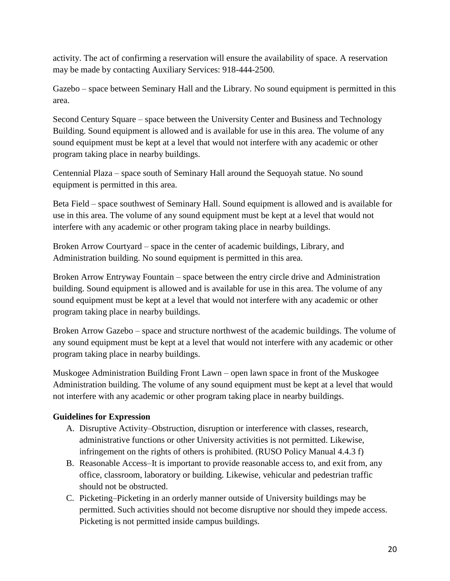activity. The act of confirming a reservation will ensure the availability of space. A reservation may be made by contacting Auxiliary Services: 918-444-2500.

Gazebo – space between Seminary Hall and the Library. No sound equipment is permitted in this area.

Second Century Square – space between the University Center and Business and Technology Building. Sound equipment is allowed and is available for use in this area. The volume of any sound equipment must be kept at a level that would not interfere with any academic or other program taking place in nearby buildings.

Centennial Plaza – space south of Seminary Hall around the Sequoyah statue. No sound equipment is permitted in this area.

Beta Field – space southwest of Seminary Hall. Sound equipment is allowed and is available for use in this area. The volume of any sound equipment must be kept at a level that would not interfere with any academic or other program taking place in nearby buildings.

Broken Arrow Courtyard – space in the center of academic buildings, Library, and Administration building. No sound equipment is permitted in this area.

Broken Arrow Entryway Fountain – space between the entry circle drive and Administration building. Sound equipment is allowed and is available for use in this area. The volume of any sound equipment must be kept at a level that would not interfere with any academic or other program taking place in nearby buildings.

Broken Arrow Gazebo – space and structure northwest of the academic buildings. The volume of any sound equipment must be kept at a level that would not interfere with any academic or other program taking place in nearby buildings.

Muskogee Administration Building Front Lawn – open lawn space in front of the Muskogee Administration building. The volume of any sound equipment must be kept at a level that would not interfere with any academic or other program taking place in nearby buildings.

#### <span id="page-19-0"></span>**Guidelines for Expression**

- A. Disruptive Activity–Obstruction, disruption or interference with classes, research, administrative functions or other University activities is not permitted. Likewise, infringement on the rights of others is prohibited. (RUSO Policy Manual 4.4.3 f)
- B. Reasonable Access–It is important to provide reasonable access to, and exit from, any office, classroom, laboratory or building. Likewise, vehicular and pedestrian traffic should not be obstructed.
- C. Picketing–Picketing in an orderly manner outside of University buildings may be permitted. Such activities should not become disruptive nor should they impede access. Picketing is not permitted inside campus buildings.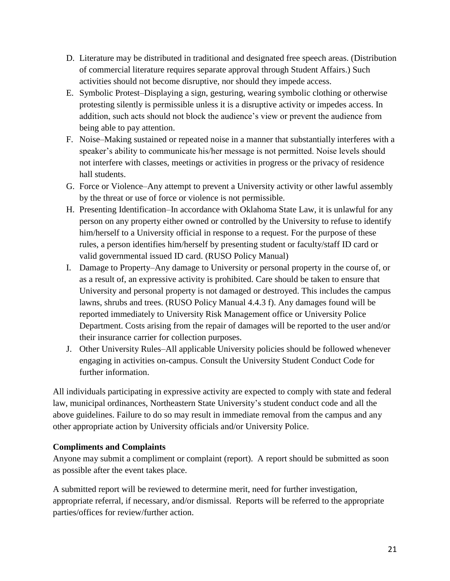- D. Literature may be distributed in traditional and designated free speech areas. (Distribution of commercial literature requires separate approval through Student Affairs.) Such activities should not become disruptive, nor should they impede access.
- E. Symbolic Protest–Displaying a sign, gesturing, wearing symbolic clothing or otherwise protesting silently is permissible unless it is a disruptive activity or impedes access. In addition, such acts should not block the audience's view or prevent the audience from being able to pay attention.
- F. Noise–Making sustained or repeated noise in a manner that substantially interferes with a speaker's ability to communicate his/her message is not permitted. Noise levels should not interfere with classes, meetings or activities in progress or the privacy of residence hall students.
- G. Force or Violence–Any attempt to prevent a University activity or other lawful assembly by the threat or use of force or violence is not permissible.
- H. Presenting Identification–In accordance with Oklahoma State Law, it is unlawful for any person on any property either owned or controlled by the University to refuse to identify him/herself to a University official in response to a request. For the purpose of these rules, a person identifies him/herself by presenting student or faculty/staff ID card or valid governmental issued ID card. (RUSO Policy Manual)
- I. Damage to Property–Any damage to University or personal property in the course of, or as a result of, an expressive activity is prohibited. Care should be taken to ensure that University and personal property is not damaged or destroyed. This includes the campus lawns, shrubs and trees. (RUSO Policy Manual 4.4.3 f). Any damages found will be reported immediately to University Risk Management office or University Police Department. Costs arising from the repair of damages will be reported to the user and/or their insurance carrier for collection purposes.
- J. Other University Rules–All applicable University policies should be followed whenever engaging in activities on-campus. Consult the University Student Conduct Code for further information.

All individuals participating in expressive activity are expected to comply with state and federal law, municipal ordinances, Northeastern State University's student conduct code and all the above guidelines. Failure to do so may result in immediate removal from the campus and any other appropriate action by University officials and/or University Police.

#### <span id="page-20-0"></span>**Compliments and Complaints**

Anyone may submit a compliment or complaint (report). A report should be submitted as soon as possible after the event takes place.

A submitted report will be reviewed to determine merit, need for further investigation, appropriate referral, if necessary, and/or dismissal. Reports will be referred to the appropriate parties/offices for review/further action.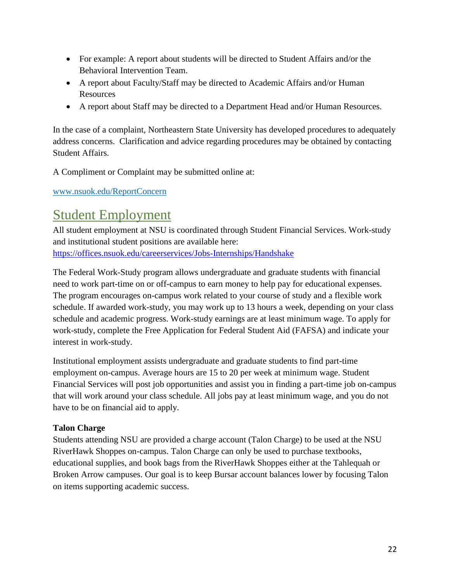- For example: A report about students will be directed to Student Affairs and/or the Behavioral Intervention Team.
- A report about Faculty/Staff may be directed to Academic Affairs and/or Human Resources
- A report about Staff may be directed to a Department Head and/or Human Resources.

In the case of a complaint, Northeastern State University has developed procedures to adequately address concerns. Clarification and advice regarding procedures may be obtained by contacting Student Affairs.

A Compliment or Complaint may be submitted online at:

[www.nsuok.edu/ReportConcern](http://www.nsuok.edu/ReportConcern)

### <span id="page-21-0"></span>Student Employment

All student employment at NSU is coordinated through Student Financial Services. Work-study and institutional student positions are available here: <https://offices.nsuok.edu/careerservices/Jobs-Internships/Handshake>

The Federal Work-Study program allows undergraduate and graduate students with financial need to work part-time on or off-campus to earn money to help pay for educational expenses. The program encourages on-campus work related to your course of study and a flexible work schedule. If awarded work-study, you may work up to 13 hours a week, depending on your class schedule and academic progress. Work-study earnings are at least minimum wage. To apply for work-study, complete the Free Application for Federal Student Aid (FAFSA) and indicate your interest in work-study.

Institutional employment assists undergraduate and graduate students to find part-time employment on-campus. Average hours are 15 to 20 per week at minimum wage. Student Financial Services will post job opportunities and assist you in finding a part-time job on-campus that will work around your class schedule. All jobs pay at least minimum wage, and you do not have to be on financial aid to apply.

#### <span id="page-21-1"></span>**Talon Charge**

Students attending NSU are provided a charge account (Talon Charge) to be used at the NSU RiverHawk Shoppes on-campus. Talon Charge can only be used to purchase textbooks, educational supplies, and book bags from the RiverHawk Shoppes either at the Tahlequah or Broken Arrow campuses. Our goal is to keep Bursar account balances lower by focusing Talon on items supporting academic success.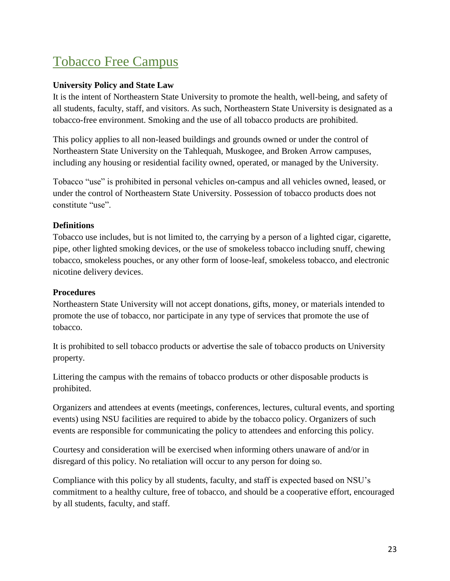# <span id="page-22-0"></span>Tobacco Free Campus

#### <span id="page-22-1"></span>**University Policy and State Law**

It is the intent of Northeastern State University to promote the health, well-being, and safety of all students, faculty, staff, and visitors. As such, Northeastern State University is designated as a tobacco-free environment. Smoking and the use of all tobacco products are prohibited.

This policy applies to all non-leased buildings and grounds owned or under the control of Northeastern State University on the Tahlequah, Muskogee, and Broken Arrow campuses, including any housing or residential facility owned, operated, or managed by the University.

Tobacco "use" is prohibited in personal vehicles on-campus and all vehicles owned, leased, or under the control of Northeastern State University. Possession of tobacco products does not constitute "use".

#### <span id="page-22-2"></span>**Definitions**

Tobacco use includes, but is not limited to, the carrying by a person of a lighted cigar, cigarette, pipe, other lighted smoking devices, or the use of smokeless tobacco including snuff, chewing tobacco, smokeless pouches, or any other form of loose-leaf, smokeless tobacco, and electronic nicotine delivery devices.

#### <span id="page-22-3"></span>**Procedures**

Northeastern State University will not accept donations, gifts, money, or materials intended to promote the use of tobacco, nor participate in any type of services that promote the use of tobacco.

It is prohibited to sell tobacco products or advertise the sale of tobacco products on University property.

Littering the campus with the remains of tobacco products or other disposable products is prohibited.

Organizers and attendees at events (meetings, conferences, lectures, cultural events, and sporting events) using NSU facilities are required to abide by the tobacco policy. Organizers of such events are responsible for communicating the policy to attendees and enforcing this policy.

Courtesy and consideration will be exercised when informing others unaware of and/or in disregard of this policy. No retaliation will occur to any person for doing so.

Compliance with this policy by all students, faculty, and staff is expected based on NSU's commitment to a healthy culture, free of tobacco, and should be a cooperative effort, encouraged by all students, faculty, and staff.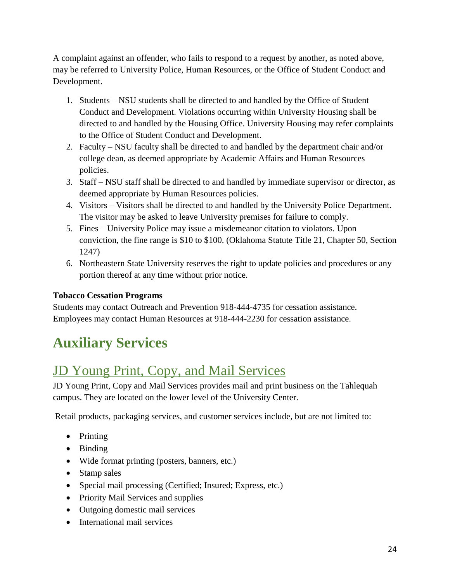A complaint against an offender, who fails to respond to a request by another, as noted above, may be referred to University Police, Human Resources, or the Office of Student Conduct and Development.

- 1. Students NSU students shall be directed to and handled by the Office of Student Conduct and Development. Violations occurring within University Housing shall be directed to and handled by the Housing Office. University Housing may refer complaints to the Office of Student Conduct and Development.
- 2. Faculty NSU faculty shall be directed to and handled by the department chair and/or college dean, as deemed appropriate by Academic Affairs and Human Resources policies.
- 3. Staff NSU staff shall be directed to and handled by immediate supervisor or director, as deemed appropriate by Human Resources policies.
- 4. Visitors Visitors shall be directed to and handled by the University Police Department. The visitor may be asked to leave University premises for failure to comply.
- 5. Fines University Police may issue a misdemeanor citation to violators. Upon conviction, the fine range is \$10 to \$100. (Oklahoma Statute Title 21, Chapter 50, Section 1247)
- 6. Northeastern State University reserves the right to update policies and procedures or any portion thereof at any time without prior notice.

#### <span id="page-23-0"></span>**Tobacco Cessation Programs**

Students may contact Outreach and Prevention 918-444-4735 for cessation assistance. Employees may contact Human Resources at 918-444-2230 for cessation assistance.

# **Auxiliary Services**

# <span id="page-23-1"></span>JD Young Print, Copy, and Mail Services

JD Young Print, Copy and Mail Services provides mail and print business on the Tahlequah campus. They are located on the lower level of the University Center.

Retail products, packaging services, and customer services include, but are not limited to:

- Printing
- Binding
- Wide format printing (posters, banners, etc.)
- Stamp sales
- Special mail processing (Certified; Insured; Express, etc.)
- Priority Mail Services and supplies
- Outgoing domestic mail services
- International mail services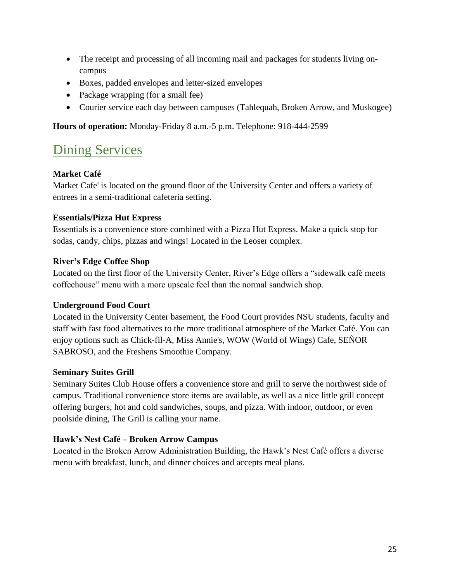- The receipt and processing of all incoming mail and packages for students living oncampus
- Boxes, padded envelopes and letter-sized envelopes
- Package wrapping (for a small fee)
- Courier service each day between campuses (Tahlequah, Broken Arrow, and Muskogee)

**Hours of operation:** Monday-Friday 8 a.m.-5 p.m. Telephone: 918-444-2599

# <span id="page-24-0"></span>**Dining Services**

#### <span id="page-24-1"></span>**Market Café**

Market Cafe' is located on the ground floor of the University Center and offers a variety of entrees in a semi-traditional cafeteria setting.

#### <span id="page-24-2"></span>**Essentials/Pizza Hut Express**

Essentials is a convenience store combined with a Pizza Hut Express. Make a quick stop for sodas, candy, chips, pizzas and wings! Located in the Leoser complex.

#### <span id="page-24-3"></span>**River's Edge Coffee Shop**

Located on the first floor of the University Center, River's Edge offers a "sidewalk café meets coffeehouse" menu with a more upscale feel than the normal sandwich shop.

#### <span id="page-24-4"></span>**Underground Food Court**

Located in the University Center basement, the Food Court provides NSU students, faculty and staff with fast food alternatives to the more traditional atmosphere of the Market Café. You can enjoy options such as Chick-fil-A, Miss Annie's, WOW (World of Wings) Cafe, SEÑOR SABROSO, and the Freshens Smoothie Company.

#### <span id="page-24-5"></span>**Seminary Suites Grill**

Seminary Suites Club House offers a convenience store and grill to serve the northwest side of campus. Traditional convenience store items are available, as well as a nice little grill concept offering burgers, hot and cold sandwiches, soups, and pizza. With indoor, outdoor, or even poolside dining, The Grill is calling your name.

#### <span id="page-24-6"></span>**Hawk's Nest Café – Broken Arrow Campus**

Located in the Broken Arrow Administration Building, the Hawk's Nest Café offers a diverse menu with breakfast, lunch, and dinner choices and accepts meal plans.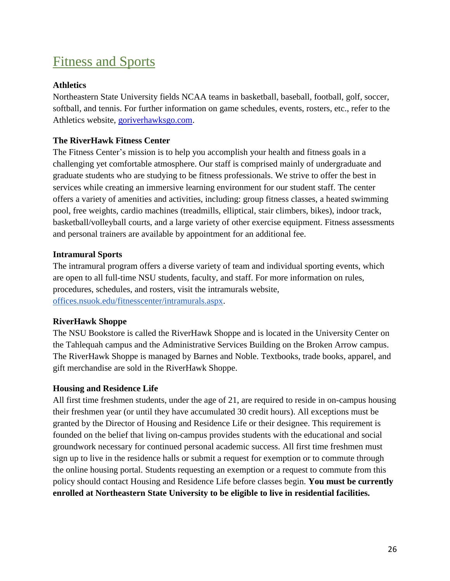## <span id="page-25-0"></span>Fitness and Sports

#### <span id="page-25-1"></span>**Athletics**

Northeastern State University fields NCAA teams in basketball, baseball, football, golf, soccer, softball, and tennis. For further information on game schedules, events, rosters, etc., refer to the Athletics website, [goriverhawksgo.com.](http://goriverhawksgo.com/)

#### <span id="page-25-2"></span>**The RiverHawk Fitness Center**

The Fitness Center's mission is to help you accomplish your health and fitness goals in a challenging yet comfortable atmosphere. Our staff is comprised mainly of undergraduate and graduate students who are studying to be fitness professionals. We strive to offer the best in services while creating an immersive learning environment for our student staff. The center offers a variety of amenities and activities, including: group fitness classes, a heated swimming pool, free weights, cardio machines (treadmills, elliptical, stair climbers, bikes), indoor track, basketball/volleyball courts, and a large variety of other exercise equipment. Fitness assessments and personal trainers are available by appointment for an additional fee.

#### <span id="page-25-3"></span>**Intramural Sports**

The intramural program offers a diverse variety of team and individual sporting events, which are open to all full-time NSU students, faculty, and staff. For more information on rules, procedures, schedules, and rosters, visit the intramurals website, [offices.nsuok.edu/fitnesscenter/intramurals.aspx.](http://offices.nsuok.edu/fitnesscenter/intramurals.aspx)

#### <span id="page-25-4"></span>**RiverHawk Shoppe**

The NSU Bookstore is called the RiverHawk Shoppe and is located in the University Center on the Tahlequah campus and the Administrative Services Building on the Broken Arrow campus. The RiverHawk Shoppe is managed by Barnes and Noble. Textbooks, trade books, apparel, and gift merchandise are sold in the RiverHawk Shoppe.

#### <span id="page-25-5"></span>**Housing and Residence Life**

All first time freshmen students, under the age of 21, are required to reside in on-campus housing their freshmen year (or until they have accumulated 30 credit hours). All exceptions must be granted by the Director of Housing and Residence Life or their designee. This requirement is founded on the belief that living on-campus provides students with the educational and social groundwork necessary for continued personal academic success. All first time freshmen must sign up to live in the residence halls or submit a request for exemption or to commute through the online housing portal. Students requesting an exemption or a request to commute from this policy should contact Housing and Residence Life before classes begin. **You must be currently enrolled at Northeastern State University to be eligible to live in residential facilities***.*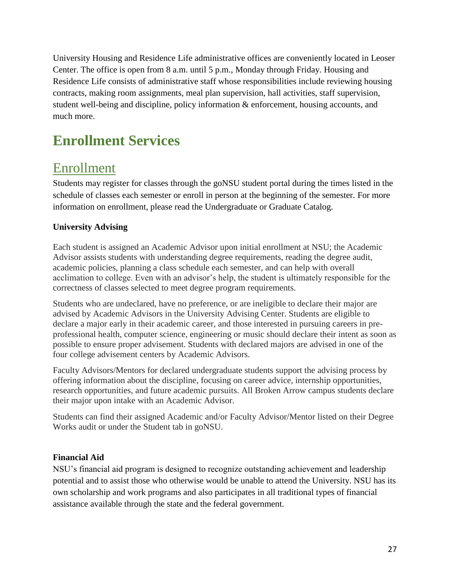University Housing and Residence Life administrative offices are conveniently located in Leoser Center. The office is open from 8 a.m. until 5 p.m., Monday through Friday. Housing and Residence Life consists of administrative staff whose responsibilities include reviewing housing contracts, making room assignments, meal plan supervision, hall activities, staff supervision, student well-being and discipline, policy information & enforcement, housing accounts, and much more.

# **Enrollment Services**

### <span id="page-26-0"></span>Enrollment

Students may register for classes through the goNSU student portal during the times listed in the schedule of classes each semester or enroll in person at the beginning of the semester. For more information on enrollment, please read the Undergraduate or Graduate Catalog.

#### <span id="page-26-1"></span>**University Advising**

Each student is assigned an Academic Advisor upon initial enrollment at NSU; the Academic Advisor assists students with understanding degree requirements, reading the degree audit, academic policies, planning a class schedule each semester, and can help with overall acclimation to college. Even with an advisor's help, the student is ultimately responsible for the correctness of classes selected to meet degree program requirements.

Students who are undeclared, have no preference, or are ineligible to declare their major are advised by Academic Advisors in the University Advising Center. Students are eligible to declare a major early in their academic career, and those interested in pursuing careers in preprofessional health, computer science, engineering or music should declare their intent as soon as possible to ensure proper advisement. Students with declared majors are advised in one of the four college advisement centers by Academic Advisors.

Faculty Advisors/Mentors for declared undergraduate students support the advising process by offering information about the discipline, focusing on career advice, internship opportunities, research opportunities, and future academic pursuits. All Broken Arrow campus students declare their major upon intake with an Academic Advisor.

Students can find their assigned Academic and/or Faculty Advisor/Mentor listed on their Degree Works audit or under the Student tab in goNSU.

#### <span id="page-26-2"></span>**Financial Aid**

NSU's financial aid program is designed to recognize outstanding achievement and leadership potential and to assist those who otherwise would be unable to attend the University. NSU has its own scholarship and work programs and also participates in all traditional types of financial assistance available through the state and the federal government.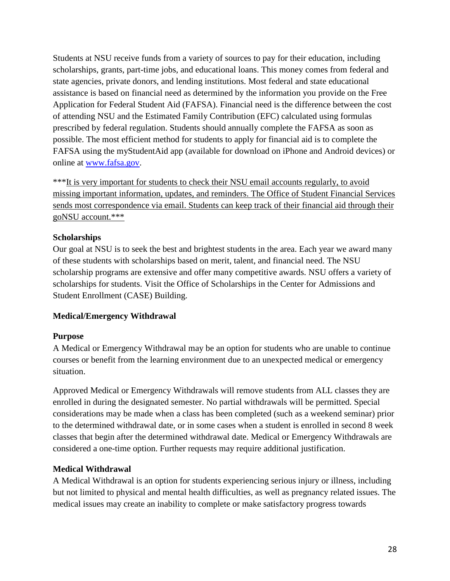Students at NSU receive funds from a variety of sources to pay for their education, including scholarships, grants, part-time jobs, and educational loans. This money comes from federal and state agencies, private donors, and lending institutions. Most federal and state educational assistance is based on financial need as determined by the information you provide on the Free Application for Federal Student Aid (FAFSA). Financial need is the difference between the cost of attending NSU and the Estimated Family Contribution (EFC) calculated using formulas prescribed by federal regulation. Students should annually complete the FAFSA as soon as possible. The most efficient method for students to apply for financial aid is to complete the FAFSA using the myStudentAid app (available for download on iPhone and Android devices) or online at [www.fafsa.gov.](http://www.fafsa.gov/)

\*\*\*It is very important for students to check their NSU email accounts regularly, to avoid missing important information, updates, and reminders. The Office of Student Financial Services sends most correspondence via email. Students can keep track of their financial aid through their goNSU account.\*\*\*

#### <span id="page-27-0"></span>**Scholarships**

Our goal at NSU is to seek the best and brightest students in the area. Each year we award many of these students with scholarships based on merit, talent, and financial need. The NSU scholarship programs are extensive and offer many competitive awards. NSU offers a variety of scholarships for students. Visit the Office of Scholarships in the Center for Admissions and Student Enrollment (CASE) Building.

#### <span id="page-27-1"></span>**Medical/Emergency Withdrawal**

#### <span id="page-27-2"></span>**Purpose**

A Medical or Emergency Withdrawal may be an option for students who are unable to continue courses or benefit from the learning environment due to an unexpected medical or emergency situation.

Approved Medical or Emergency Withdrawals will remove students from ALL classes they are enrolled in during the designated semester. No partial withdrawals will be permitted. Special considerations may be made when a class has been completed (such as a weekend seminar) prior to the determined withdrawal date, or in some cases when a student is enrolled in second 8 week classes that begin after the determined withdrawal date. Medical or Emergency Withdrawals are considered a one-time option. Further requests may require additional justification.

#### <span id="page-27-3"></span>**Medical Withdrawal**

A Medical Withdrawal is an option for students experiencing serious injury or illness, including but not limited to physical and mental health difficulties, as well as pregnancy related issues. The medical issues may create an inability to complete or make satisfactory progress towards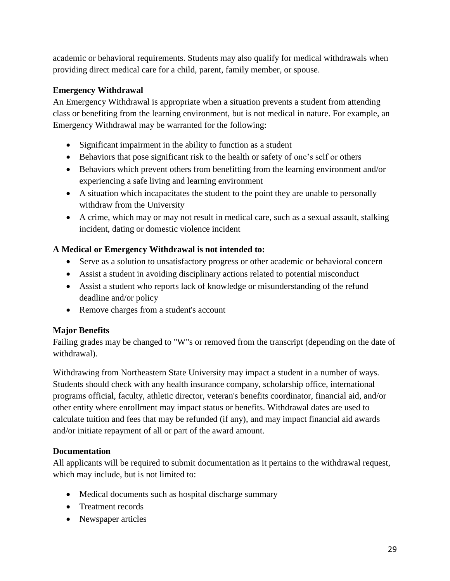academic or behavioral requirements. Students may also qualify for medical withdrawals when providing direct medical care for a child, parent, family member, or spouse.

#### <span id="page-28-0"></span>**Emergency Withdrawal**

An Emergency Withdrawal is appropriate when a situation prevents a student from attending class or benefiting from the learning environment, but is not medical in nature. For example, an Emergency Withdrawal may be warranted for the following:

- Significant impairment in the ability to function as a student
- Behaviors that pose significant risk to the health or safety of one's self or others
- Behaviors which prevent others from benefitting from the learning environment and/or experiencing a safe living and learning environment
- A situation which incapacitates the student to the point they are unable to personally withdraw from the University
- A crime, which may or may not result in medical care, such as a sexual assault, stalking incident, dating or domestic violence incident

#### <span id="page-28-1"></span>**A Medical or Emergency Withdrawal is not intended to:**

- Serve as a solution to unsatisfactory progress or other academic or behavioral concern
- Assist a student in avoiding disciplinary actions related to potential misconduct
- Assist a student who reports lack of knowledge or misunderstanding of the refund deadline and/or policy
- Remove charges from a student's account

#### <span id="page-28-2"></span>**Major Benefits**

Failing grades may be changed to "W"s or removed from the transcript (depending on the date of withdrawal).

Withdrawing from Northeastern State University may impact a student in a number of ways. Students should check with any health insurance company, scholarship office, international programs official, faculty, athletic director, veteran's benefits coordinator, financial aid, and/or other entity where enrollment may impact status or benefits. Withdrawal dates are used to calculate tuition and fees that may be refunded (if any), and may impact financial aid awards and/or initiate repayment of all or part of the award amount.

#### <span id="page-28-3"></span>**Documentation**

All applicants will be required to submit documentation as it pertains to the withdrawal request, which may include, but is not limited to:

- Medical documents such as hospital discharge summary
- Treatment records
- Newspaper articles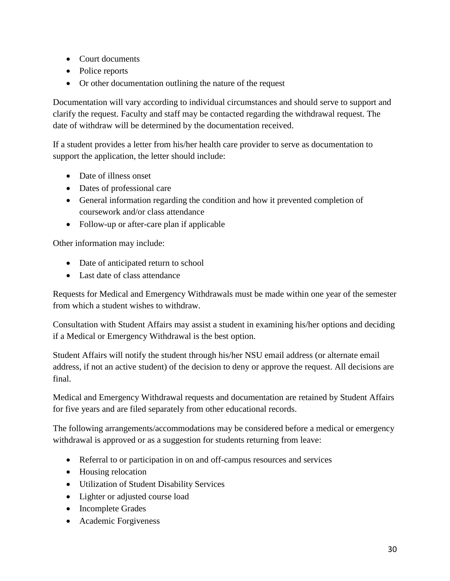- Court documents
- Police reports
- Or other documentation outlining the nature of the request

Documentation will vary according to individual circumstances and should serve to support and clarify the request. Faculty and staff may be contacted regarding the withdrawal request. The date of withdraw will be determined by the documentation received.

If a student provides a letter from his/her health care provider to serve as documentation to support the application, the letter should include:

- Date of illness onset
- Dates of professional care
- General information regarding the condition and how it prevented completion of coursework and/or class attendance
- Follow-up or after-care plan if applicable

Other information may include:

- Date of anticipated return to school
- Last date of class attendance

Requests for Medical and Emergency Withdrawals must be made within one year of the semester from which a student wishes to withdraw.

Consultation with Student Affairs may assist a student in examining his/her options and deciding if a Medical or Emergency Withdrawal is the best option.

Student Affairs will notify the student through his/her NSU email address (or alternate email address, if not an active student) of the decision to deny or approve the request. All decisions are final.

Medical and Emergency Withdrawal requests and documentation are retained by Student Affairs for five years and are filed separately from other educational records.

The following arrangements/accommodations may be considered before a medical or emergency withdrawal is approved or as a suggestion for students returning from leave:

- Referral to or participation in on and off-campus resources and services
- Housing relocation
- Utilization of Student Disability Services
- Lighter or adjusted course load
- Incomplete Grades
- Academic Forgiveness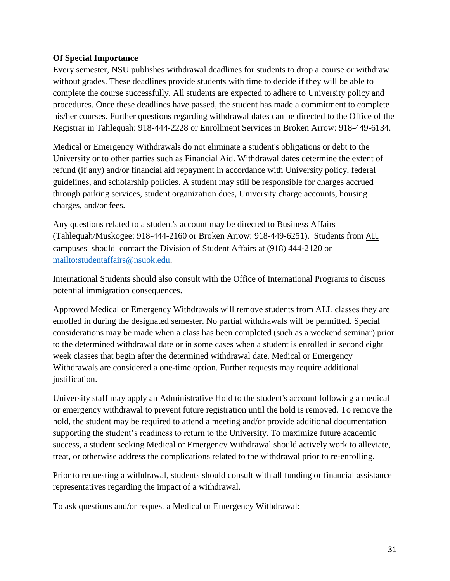#### <span id="page-30-0"></span>**Of Special Importance**

Every semester, NSU publishes withdrawal deadlines for students to drop a course or withdraw without grades. These deadlines provide students with time to decide if they will be able to complete the course successfully. All students are expected to adhere to University policy and procedures. Once these deadlines have passed, the student has made a commitment to complete his/her courses. Further questions regarding withdrawal dates can be directed to the Office of the Registrar in Tahlequah: 918-444-2228 or Enrollment Services in Broken Arrow: 918-449-6134.

Medical or Emergency Withdrawals do not eliminate a student's obligations or debt to the University or to other parties such as Financial Aid. Withdrawal dates determine the extent of refund (if any) and/or financial aid repayment in accordance with University policy, federal guidelines, and scholarship policies. A student may still be responsible for charges accrued through parking services, student organization dues, University charge accounts, housing charges, and/or fees.

Any questions related to a student's account may be directed to Business Affairs (Tahlequah/Muskogee: 918-444-2160 or Broken Arrow: 918-449-6251). Students from ALL campuses should contact the Division of Student Affairs at (918) 444-2120 or [mailto:studentaffairs@nsuok.edu.](mailto:studentaffairs@nsuok.edu)

International Students should also consult with the Office of International Programs to discuss potential immigration consequences.

Approved Medical or Emergency Withdrawals will remove students from ALL classes they are enrolled in during the designated semester. No partial withdrawals will be permitted. Special considerations may be made when a class has been completed (such as a weekend seminar) prior to the determined withdrawal date or in some cases when a student is enrolled in second eight week classes that begin after the determined withdrawal date. Medical or Emergency Withdrawals are considered a one-time option. Further requests may require additional justification.

University staff may apply an Administrative Hold to the student's account following a medical or emergency withdrawal to prevent future registration until the hold is removed. To remove the hold, the student may be required to attend a meeting and/or provide additional documentation supporting the student's readiness to return to the University. To maximize future academic success, a student seeking Medical or Emergency Withdrawal should actively work to alleviate, treat, or otherwise address the complications related to the withdrawal prior to re-enrolling.

Prior to requesting a withdrawal, students should consult with all funding or financial assistance representatives regarding the impact of a withdrawal.

To ask questions and/or request a Medical or Emergency Withdrawal: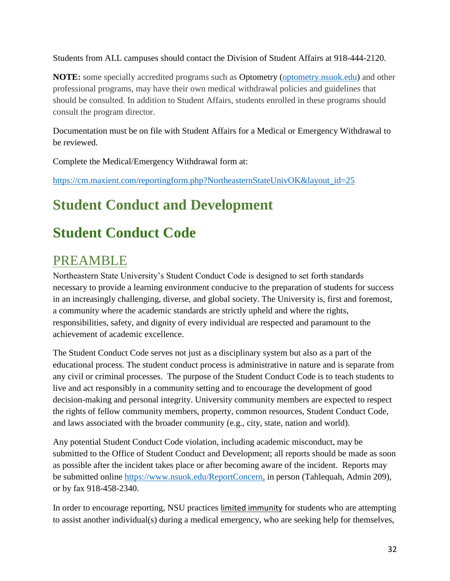Students from ALL campuses should contact the Division of Student Affairs at 918-444-2120.

**NOTE:** some specially accredited programs such as Optometry [\(optometry.nsuok.edu\)](https://optometry.nsuok.edu/) and other professional programs, may have their own medical withdrawal policies and guidelines that should be consulted. In addition to Student Affairs, students enrolled in these programs should consult the program director.

Documentation must be on file with Student Affairs for a Medical or Emergency Withdrawal to be reviewed.

Complete the Medical/Emergency Withdrawal form at:

[https://cm.maxient.com/reportingform.php?NortheasternStateUnivOK&layout\\_id=25](https://cm.maxient.com/reportingform.php?NortheasternStateUnivOK&layout_id=25)

# **Student Conduct and Development**

# **Student Conduct Code**

## <span id="page-31-0"></span>PREAMBLE

Northeastern State University's Student Conduct Code is designed to set forth standards necessary to provide a learning environment conducive to the preparation of students for success in an increasingly challenging, diverse, and global society. The University is, first and foremost, a community where the academic standards are strictly upheld and where the rights, responsibilities, safety, and dignity of every individual are respected and paramount to the achievement of academic excellence.

The Student Conduct Code serves not just as a disciplinary system but also as a part of the educational process. The student conduct process is administrative in nature and is separate from any civil or criminal processes. The purpose of the Student Conduct Code is to teach students to live and act responsibly in a community setting and to encourage the development of good decision-making and personal integrity. University community members are expected to respect the rights of fellow community members, property, common resources, Student Conduct Code, and laws associated with the broader community (e.g., city, state, nation and world).

Any potential Student Conduct Code violation, including academic misconduct, may be submitted to the Office of Student Conduct and Development; all reports should be made as soon as possible after the incident takes place or after becoming aware of the incident. Reports may be submitted online [https://www.nsuok.edu/ReportConcern,](https://www.nsuok.edu/ReportConcern) in person (Tahlequah, Admin 209), or by fax 918-458-2340.

In order to encourage reporting, NSU practices limited immunity for students who are attempting to assist another individual(s) during a medical emergency, who are seeking help for themselves,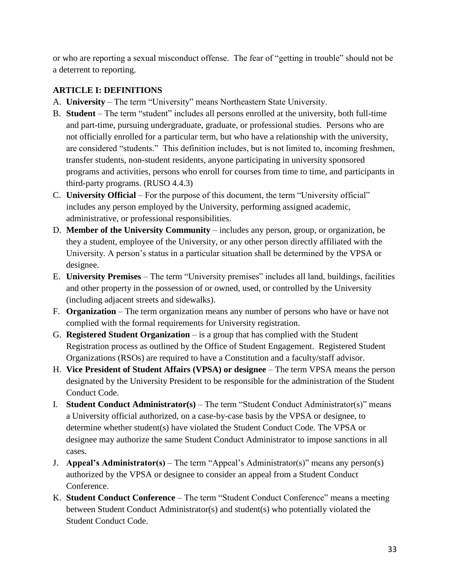or who are reporting a sexual misconduct offense. The fear of "getting in trouble" should not be a deterrent to reporting.

#### <span id="page-32-0"></span>**ARTICLE I: DEFINITIONS**

- A. **University** The term "University" means Northeastern State University.
- B. **Student**  The term "student" includes all persons enrolled at the university, both full-time and part-time, pursuing undergraduate, graduate, or professional studies. Persons who are not officially enrolled for a particular term, but who have a relationship with the university, are considered "students." This definition includes, but is not limited to, incoming freshmen, transfer students, non-student residents, anyone participating in university sponsored programs and activities, persons who enroll for courses from time to time, and participants in third-party programs. (RUSO 4.4.3)
- C. **University Official**  For the purpose of this document, the term "University official" includes any person employed by the University, performing assigned academic, administrative, or professional responsibilities.
- D. **Member of the University Community**  includes any person, group, or organization, be they a student, employee of the University, or any other person directly affiliated with the University. A person's status in a particular situation shall be determined by the VPSA or designee.
- E. **University Premises**  The term "University premises" includes all land, buildings, facilities and other property in the possession of or owned, used, or controlled by the University (including adjacent streets and sidewalks).
- F. **Organization**  The term organization means any number of persons who have or have not complied with the formal requirements for University registration.
- G. **Registered Student Organization** is a group that has complied with the Student Registration process as outlined by the Office of Student Engagement. Registered Student Organizations (RSOs) are required to have a Constitution and a faculty/staff advisor.
- H. **Vice President of Student Affairs (VPSA) or designee**  The term VPSA means the person designated by the University President to be responsible for the administration of the Student Conduct Code.
- I. **Student Conduct Administrator(s)**  The term "Student Conduct Administrator(s)" means a University official authorized, on a case-by-case basis by the VPSA or designee, to determine whether student(s) have violated the Student Conduct Code. The VPSA or designee may authorize the same Student Conduct Administrator to impose sanctions in all cases.
- J. **Appeal's Administrator(s)** The term "Appeal's Administrator(s)" means any person(s) authorized by the VPSA or designee to consider an appeal from a Student Conduct Conference.
- K. **Student Conduct Conference**  The term "Student Conduct Conference" means a meeting between Student Conduct Administrator(s) and student(s) who potentially violated the Student Conduct Code.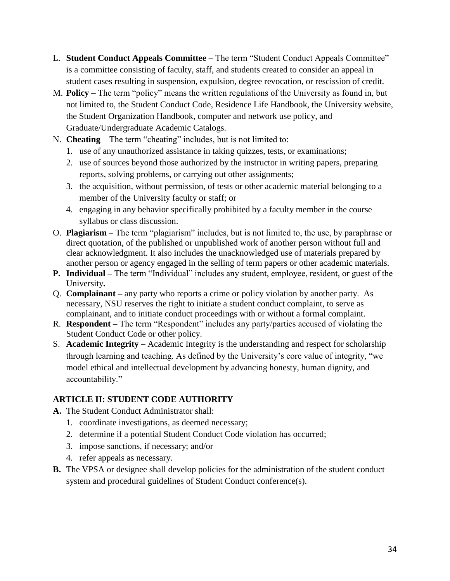- L. **Student Conduct Appeals Committee**  The term "Student Conduct Appeals Committee" is a committee consisting of faculty, staff, and students created to consider an appeal in student cases resulting in suspension, expulsion, degree revocation, or rescission of credit.
- M. **Policy**  The term "policy" means the written regulations of the University as found in, but not limited to, the Student Conduct Code, Residence Life Handbook, the University website, the Student Organization Handbook, computer and network use policy, and Graduate/Undergraduate Academic Catalogs.
- N. **Cheating**  The term "cheating" includes, but is not limited to:
	- 1. use of any unauthorized assistance in taking quizzes, tests, or examinations;
	- 2. use of sources beyond those authorized by the instructor in writing papers, preparing reports, solving problems, or carrying out other assignments;
	- 3. the acquisition, without permission, of tests or other academic material belonging to a member of the University faculty or staff; or
	- 4. engaging in any behavior specifically prohibited by a faculty member in the course syllabus or class discussion.
- O. **Plagiarism**  The term "plagiarism" includes, but is not limited to, the use, by paraphrase or direct quotation, of the published or unpublished work of another person without full and clear acknowledgment. It also includes the unacknowledged use of materials prepared by another person or agency engaged in the selling of term papers or other academic materials.
- **P. Individual –** The term "Individual" includes any student, employee, resident, or guest of the University**.**
- Q. **Complainant –** any party who reports a crime or policy violation by another party. As necessary, NSU reserves the right to initiate a student conduct complaint, to serve as complainant, and to initiate conduct proceedings with or without a formal complaint.
- R. **Respondent –** The term "Respondent" includes any party/parties accused of violating the Student Conduct Code or other policy.
- S. **Academic Integrity** Academic Integrity is the understanding and respect for scholarship through learning and teaching. As defined by the University's core value of integrity, "we model ethical and intellectual development by advancing honesty, human dignity, and accountability."

#### <span id="page-33-0"></span>**ARTICLE II: STUDENT CODE AUTHORITY**

- **A.** The Student Conduct Administrator shall:
	- 1. coordinate investigations, as deemed necessary;
	- 2. determine if a potential Student Conduct Code violation has occurred;
	- 3. impose sanctions, if necessary; and/or
	- 4. refer appeals as necessary.
- **B.** The VPSA or designee shall develop policies for the administration of the student conduct system and procedural guidelines of Student Conduct conference(s).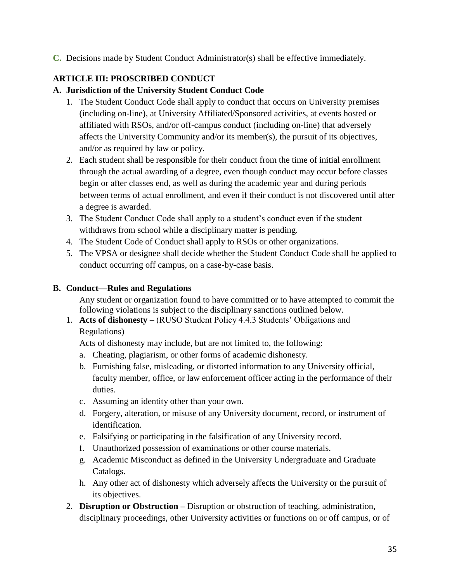**C.** Decisions made by Student Conduct Administrator(s) shall be effective immediately.

#### <span id="page-34-0"></span>**ARTICLE III: PROSCRIBED CONDUCT**

#### **A. Jurisdiction of the University Student Conduct Code**

- 1. The Student Conduct Code shall apply to conduct that occurs on University premises (including on-line), at University Affiliated/Sponsored activities, at events hosted or affiliated with RSOs, and/or off-campus conduct (including on-line) that adversely affects the University Community and/or its member(s), the pursuit of its objectives, and/or as required by law or policy.
- 2. Each student shall be responsible for their conduct from the time of initial enrollment through the actual awarding of a degree, even though conduct may occur before classes begin or after classes end, as well as during the academic year and during periods between terms of actual enrollment, and even if their conduct is not discovered until after a degree is awarded.
- 3. The Student Conduct Code shall apply to a student's conduct even if the student withdraws from school while a disciplinary matter is pending.
- 4. The Student Code of Conduct shall apply to RSOs or other organizations.
- 5. The VPSA or designee shall decide whether the Student Conduct Code shall be applied to conduct occurring off campus, on a case-by-case basis.

#### **B. Conduct—Rules and Regulations**

Any student or organization found to have committed or to have attempted to commit the following violations is subject to the disciplinary sanctions outlined below.

1. **Acts of dishonesty** – (RUSO Student Policy 4.4.3 Students' Obligations and Regulations)

Acts of dishonesty may include, but are not limited to, the following:

- a. Cheating, plagiarism, or other forms of academic dishonesty.
- b. Furnishing false, misleading, or distorted information to any University official, faculty member, office, or law enforcement officer acting in the performance of their duties.
- c. Assuming an identity other than your own.
- d. Forgery, alteration, or misuse of any University document, record, or instrument of identification.
- e. Falsifying or participating in the falsification of any University record.
- f. Unauthorized possession of examinations or other course materials.
- g. Academic Misconduct as defined in the University Undergraduate and Graduate Catalogs.
- h. Any other act of dishonesty which adversely affects the University or the pursuit of its objectives.
- 2. **Disruption or Obstruction –** Disruption or obstruction of teaching, administration, disciplinary proceedings, other University activities or functions on or off campus, or of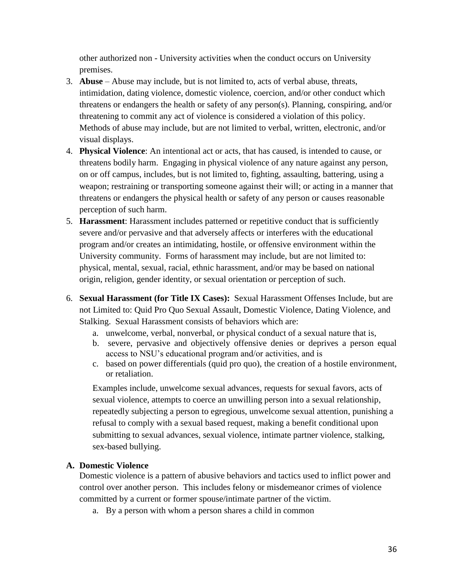other authorized non - University activities when the conduct occurs on University premises.

- 3. **Abuse**  Abuse may include, but is not limited to, acts of verbal abuse, threats, intimidation, dating violence, domestic violence, coercion, and/or other conduct which threatens or endangers the health or safety of any person(s). Planning, conspiring, and/or threatening to commit any act of violence is considered a violation of this policy. Methods of abuse may include, but are not limited to verbal, written, electronic, and/or visual displays.
- 4. **Physical Violence**: An intentional act or acts, that has caused, is intended to cause, or threatens bodily harm. Engaging in physical violence of any nature against any person, on or off campus, includes, but is not limited to, fighting, assaulting, battering, using a weapon; restraining or transporting someone against their will; or acting in a manner that threatens or endangers the physical health or safety of any person or causes reasonable perception of such harm.
- 5. **Harassment**: Harassment includes patterned or repetitive conduct that is sufficiently severe and/or pervasive and that adversely affects or interferes with the educational program and/or creates an intimidating, hostile, or offensive environment within the University community. Forms of harassment may include, but are not limited to: physical, mental, sexual, racial, ethnic harassment, and/or may be based on national origin, religion, gender identity, or sexual orientation or perception of such.
- 6. **Sexual Harassment (for Title IX Cases):** Sexual Harassment Offenses Include, but are not Limited to: Quid Pro Quo Sexual Assault, Domestic Violence, Dating Violence, and Stalking. Sexual Harassment consists of behaviors which are:
	- a. unwelcome, verbal, nonverbal, or physical conduct of a sexual nature that is,
	- b. severe, pervasive and objectively offensive denies or deprives a person equal access to NSU's educational program and/or activities, and is
	- c. based on power differentials (quid pro quo), the creation of a hostile environment, or retaliation.

Examples include, unwelcome sexual advances, requests for sexual favors, acts of sexual violence, attempts to coerce an unwilling person into a sexual relationship, repeatedly subjecting a person to egregious, unwelcome sexual attention, punishing a refusal to comply with a sexual based request, making a benefit conditional upon submitting to sexual advances, sexual violence, intimate partner violence, stalking, sex-based bullying.

#### **A. Domestic Violence**

Domestic violence is a pattern of abusive behaviors and tactics used to inflict power and control over another person. This includes felony or misdemeanor crimes of violence committed by a current or former spouse/intimate partner of the victim.

a. By a person with whom a person shares a child in common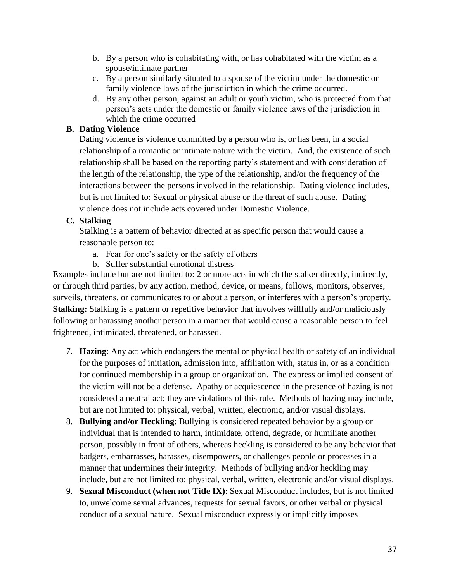- b. By a person who is cohabitating with, or has cohabitated with the victim as a spouse/intimate partner
- c. By a person similarly situated to a spouse of the victim under the domestic or family violence laws of the jurisdiction in which the crime occurred.
- d. By any other person, against an adult or youth victim, who is protected from that person's acts under the domestic or family violence laws of the jurisdiction in which the crime occurred

## **B. Dating Violence**

Dating violence is violence committed by a person who is, or has been, in a social relationship of a romantic or intimate nature with the victim. And, the existence of such relationship shall be based on the reporting party's statement and with consideration of the length of the relationship, the type of the relationship, and/or the frequency of the interactions between the persons involved in the relationship. Dating violence includes, but is not limited to: Sexual or physical abuse or the threat of such abuse. Dating violence does not include acts covered under Domestic Violence.

## **C. Stalking**

Stalking is a pattern of behavior directed at as specific person that would cause a reasonable person to:

- a. Fear for one's safety or the safety of others
- b. Suffer substantial emotional distress

Examples include but are not limited to: 2 or more acts in which the stalker directly, indirectly, or through third parties, by any action, method, device, or means, follows, monitors, observes, surveils, threatens, or communicates to or about a person, or interferes with a person's property. **Stalking:** Stalking is a pattern or repetitive behavior that involves willfully and/or maliciously following or harassing another person in a manner that would cause a reasonable person to feel frightened, intimidated, threatened, or harassed.

- 7. **Hazing**: Any act which endangers the mental or physical health or safety of an individual for the purposes of initiation, admission into, affiliation with, status in, or as a condition for continued membership in a group or organization. The express or implied consent of the victim will not be a defense. Apathy or acquiescence in the presence of hazing is not considered a neutral act; they are violations of this rule. Methods of hazing may include, but are not limited to: physical, verbal, written, electronic, and/or visual displays.
- 8. **Bullying and/or Heckling**: Bullying is considered repeated behavior by a group or individual that is intended to harm, intimidate, offend, degrade, or humiliate another person, possibly in front of others, whereas heckling is considered to be any behavior that badgers, embarrasses, harasses, disempowers, or challenges people or processes in a manner that undermines their integrity. Methods of bullying and/or heckling may include, but are not limited to: physical, verbal, written, electronic and/or visual displays.
- 9. **Sexual Misconduct (when not Title IX)**: Sexual Misconduct includes, but is not limited to, unwelcome sexual advances, requests for sexual favors, or other verbal or physical conduct of a sexual nature. Sexual misconduct expressly or implicitly imposes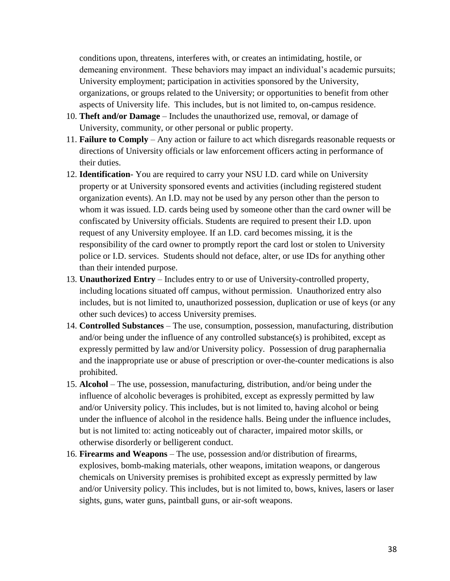conditions upon, threatens, interferes with, or creates an intimidating, hostile, or demeaning environment. These behaviors may impact an individual's academic pursuits; University employment; participation in activities sponsored by the University, organizations, or groups related to the University; or opportunities to benefit from other aspects of University life. This includes, but is not limited to, on-campus residence.

- 10. **Theft and/or Damage**  Includes the unauthorized use, removal, or damage of University, community, or other personal or public property.
- 11. **Failure to Comply**  Any action or failure to act which disregards reasonable requests or directions of University officials or law enforcement officers acting in performance of their duties.
- 12. **Identification** You are required to carry your NSU I.D. card while on University property or at University sponsored events and activities (including registered student organization events). An I.D. may not be used by any person other than the person to whom it was issued. I.D. cards being used by someone other than the card owner will be confiscated by University officials. Students are required to present their I.D. upon request of any University employee. If an I.D. card becomes missing, it is the responsibility of the card owner to promptly report the card lost or stolen to University police or I.D. services. Students should not deface, alter, or use IDs for anything other than their intended purpose.
- 13. **Unauthorized Entry**  Includes entry to or use of University-controlled property, including locations situated off campus, without permission. Unauthorized entry also includes, but is not limited to, unauthorized possession, duplication or use of keys (or any other such devices) to access University premises.
- 14. **Controlled Substances**  The use, consumption, possession, manufacturing, distribution and/or being under the influence of any controlled substance(s) is prohibited, except as expressly permitted by law and/or University policy. Possession of drug paraphernalia and the inappropriate use or abuse of prescription or over-the-counter medications is also prohibited.
- 15. **Alcohol**  The use, possession, manufacturing, distribution, and/or being under the influence of alcoholic beverages is prohibited, except as expressly permitted by law and/or University policy. This includes, but is not limited to, having alcohol or being under the influence of alcohol in the residence halls. Being under the influence includes, but is not limited to: acting noticeably out of character, impaired motor skills, or otherwise disorderly or belligerent conduct.
- 16. **Firearms and Weapons**  The use, possession and/or distribution of firearms, explosives, bomb-making materials, other weapons, imitation weapons, or dangerous chemicals on University premises is prohibited except as expressly permitted by law and/or University policy. This includes, but is not limited to, bows, knives, lasers or laser sights, guns, water guns, paintball guns, or air-soft weapons.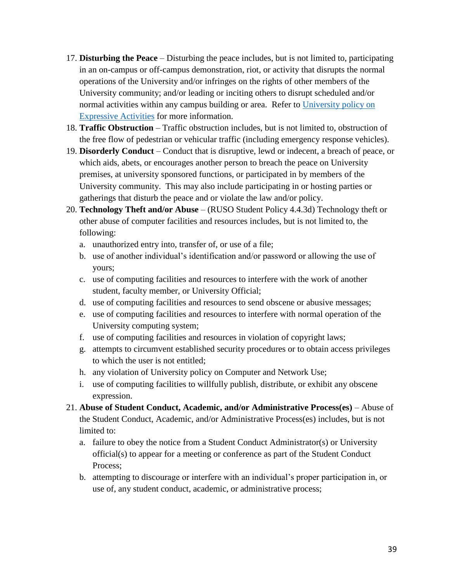- 17. **Disturbing the Peace**  Disturbing the peace includes, but is not limited to, participating in an on-campus or off-campus demonstration, riot, or activity that disrupts the normal operations of the University and/or infringes on the rights of other members of the University community; and/or leading or inciting others to disrupt scheduled and/or normal activities within any campus building or area. Refer to University policy on [Expressive Activities](https://procedures.nsuok.edu/GeneralCounsel/FreedomofSpeech(ExpressiveActivities).aspx) for more information.
- 18. **Traffic Obstruction**  Traffic obstruction includes, but is not limited to, obstruction of the free flow of pedestrian or vehicular traffic (including emergency response vehicles).
- 19. **Disorderly Conduct**  Conduct that is disruptive, lewd or indecent, a breach of peace, or which aids, abets, or encourages another person to breach the peace on University premises, at university sponsored functions, or participated in by members of the University community. This may also include participating in or hosting parties or gatherings that disturb the peace and or violate the law and/or policy.
- 20. **Technology Theft and/or Abuse**  (RUSO Student Policy 4.4.3d) Technology theft or other abuse of computer facilities and resources includes, but is not limited to, the following:
	- a. unauthorized entry into, transfer of, or use of a file;
	- b. use of another individual's identification and/or password or allowing the use of yours;
	- c. use of computing facilities and resources to interfere with the work of another student, faculty member, or University Official;
	- d. use of computing facilities and resources to send obscene or abusive messages;
	- e. use of computing facilities and resources to interfere with normal operation of the University computing system;
	- f. use of computing facilities and resources in violation of copyright laws;
	- g. attempts to circumvent established security procedures or to obtain access privileges to which the user is not entitled;
	- h. any violation of University policy on Computer and Network Use;
	- i. use of computing facilities to willfully publish, distribute, or exhibit any obscene expression.
- 21. **Abuse of Student Conduct, Academic, and/or Administrative Process(es)**  Abuse of the Student Conduct, Academic, and/or Administrative Process(es) includes, but is not limited to:
	- a. failure to obey the notice from a Student Conduct Administrator(s) or University official(s) to appear for a meeting or conference as part of the Student Conduct Process;
	- b. attempting to discourage or interfere with an individual's proper participation in, or use of, any student conduct, academic, or administrative process;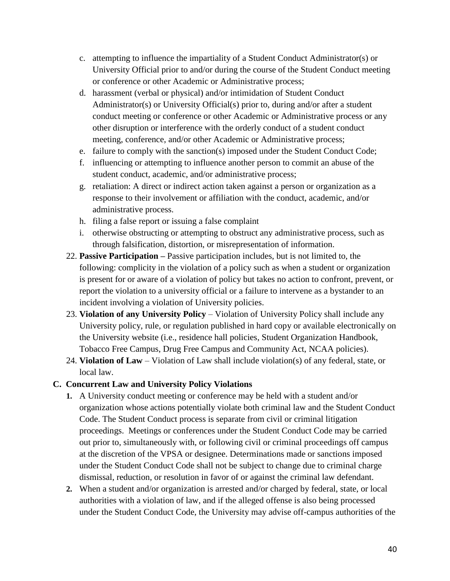- c. attempting to influence the impartiality of a Student Conduct Administrator(s) or University Official prior to and/or during the course of the Student Conduct meeting or conference or other Academic or Administrative process;
- d. harassment (verbal or physical) and/or intimidation of Student Conduct Administrator(s) or University Official(s) prior to, during and/or after a student conduct meeting or conference or other Academic or Administrative process or any other disruption or interference with the orderly conduct of a student conduct meeting, conference, and/or other Academic or Administrative process;
- e. failure to comply with the sanction(s) imposed under the Student Conduct Code;
- f. influencing or attempting to influence another person to commit an abuse of the student conduct, academic, and/or administrative process;
- g. retaliation: A direct or indirect action taken against a person or organization as a response to their involvement or affiliation with the conduct, academic, and/or administrative process.
- h. filing a false report or issuing a false complaint
- i. otherwise obstructing or attempting to obstruct any administrative process, such as through falsification, distortion, or misrepresentation of information.
- 22. **Passive Participation –** Passive participation includes, but is not limited to, the following: complicity in the violation of a policy such as when a student or organization is present for or aware of a violation of policy but takes no action to confront, prevent, or report the violation to a university official or a failure to intervene as a bystander to an incident involving a violation of University policies.
- 23. **Violation of any University Policy**  Violation of University Policy shall include any University policy, rule, or regulation published in hard copy or available electronically on the University website (i.e., residence hall policies, Student Organization Handbook, Tobacco Free Campus, Drug Free Campus and Community Act, NCAA policies).
- 24. **Violation of Law**  Violation of Law shall include violation(s) of any federal, state, or local law.

#### **C. Concurrent Law and University Policy Violations**

- **1.** A University conduct meeting or conference may be held with a student and/or organization whose actions potentially violate both criminal law and the Student Conduct Code. The Student Conduct process is separate from civil or criminal litigation proceedings. Meetings or conferences under the Student Conduct Code may be carried out prior to, simultaneously with, or following civil or criminal proceedings off campus at the discretion of the VPSA or designee. Determinations made or sanctions imposed under the Student Conduct Code shall not be subject to change due to criminal charge dismissal, reduction, or resolution in favor of or against the criminal law defendant.
- **2.** When a student and/or organization is arrested and/or charged by federal, state, or local authorities with a violation of law, and if the alleged offense is also being processed under the Student Conduct Code, the University may advise off-campus authorities of the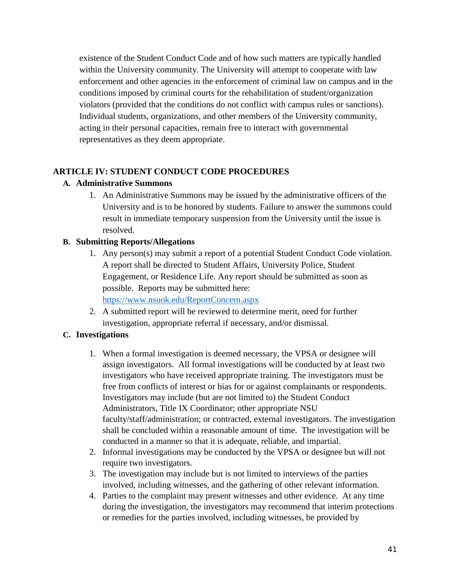existence of the Student Conduct Code and of how such matters are typically handled within the University community. The University will attempt to cooperate with law enforcement and other agencies in the enforcement of criminal law on campus and in the conditions imposed by criminal courts for the rehabilitation of student/organization violators (provided that the conditions do not conflict with campus rules or sanctions). Individual students, organizations, and other members of the University community, acting in their personal capacities, remain free to interact with governmental representatives as they deem appropriate.

#### **ARTICLE IV: STUDENT CONDUCT CODE PROCEDURES**

#### **A. Administrative Summons**

1. An Administrative Summons may be issued by the administrative officers of the University and is to be honored by students. Failure to answer the summons could result in immediate temporary suspension from the University until the issue is resolved.

## **B. Submitting Reports/Allegations**

- 1. Any person(s) may submit a report of a potential Student Conduct Code violation. A report shall be directed to Student Affairs, University Police, Student Engagement, or Residence Life. Any report should be submitted as soon as possible. Reports may be submitted here: <https://www.nsuok.edu/ReportConcern.aspx>
- 2. A submitted report will be reviewed to determine merit, need for further investigation, appropriate referral if necessary, and/or dismissal.

# **C. Investigations**

- 1. When a formal investigation is deemed necessary, the VPSA or designee will assign investigators. All formal investigations will be conducted by at least two investigators who have received appropriate training. The investigators must be free from conflicts of interest or bias for or against complainants or respondents. Investigators may include (but are not limited to) the Student Conduct Administrators, Title IX Coordinator; other appropriate NSU faculty/staff/administration; or contracted, external investigators. The investigation shall be concluded within a reasonable amount of time. The investigation will be conducted in a manner so that it is adequate, reliable, and impartial.
- 2. Informal investigations may be conducted by the VPSA or designee but will not require two investigators.
- 3. The investigation may include but is not limited to interviews of the parties involved, including witnesses, and the gathering of other relevant information.
- 4. Parties to the complaint may present witnesses and other evidence. At any time during the investigation, the investigators may recommend that interim protections or remedies for the parties involved, including witnesses, be provided by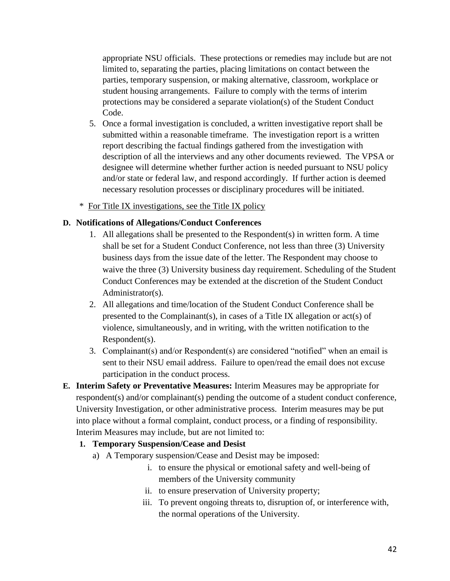appropriate NSU officials. These protections or remedies may include but are not limited to, separating the parties, placing limitations on contact between the parties, temporary suspension, or making alternative, classroom, workplace or student housing arrangements. Failure to comply with the terms of interim protections may be considered a separate violation(s) of the Student Conduct Code.

- 5. Once a formal investigation is concluded, a written investigative report shall be submitted within a reasonable timeframe. The investigation report is a written report describing the factual findings gathered from the investigation with description of all the interviews and any other documents reviewed. The VPSA or designee will determine whether further action is needed pursuant to NSU policy and/or state or federal law, and respond accordingly. If further action is deemed necessary resolution processes or disciplinary procedures will be initiated.
- \* For Title IX investigations, see the Title IX policy

#### **D. Notifications of Allegations/Conduct Conferences**

- 1. All allegations shall be presented to the Respondent(s) in written form. A time shall be set for a Student Conduct Conference, not less than three (3) University business days from the issue date of the letter. The Respondent may choose to waive the three (3) University business day requirement. Scheduling of the Student Conduct Conferences may be extended at the discretion of the Student Conduct Administrator(s).
- 2. All allegations and time/location of the Student Conduct Conference shall be presented to the Complainant(s), in cases of a Title IX allegation or act(s) of violence, simultaneously, and in writing, with the written notification to the Respondent(s).
- 3. Complainant(s) and/or Respondent(s) are considered "notified" when an email is sent to their NSU email address. Failure to open/read the email does not excuse participation in the conduct process.
- **E. Interim Safety or Preventative Measures:** Interim Measures may be appropriate for respondent(s) and/or complainant(s) pending the outcome of a student conduct conference, University Investigation, or other administrative process. Interim measures may be put into place without a formal complaint, conduct process, or a finding of responsibility. Interim Measures may include, but are not limited to:

#### **1. Temporary Suspension/Cease and Desist**

- a) A Temporary suspension/Cease and Desist may be imposed:
	- i. to ensure the physical or emotional safety and well-being of members of the University community
	- ii. to ensure preservation of University property;
	- iii. To prevent ongoing threats to, disruption of, or interference with, the normal operations of the University.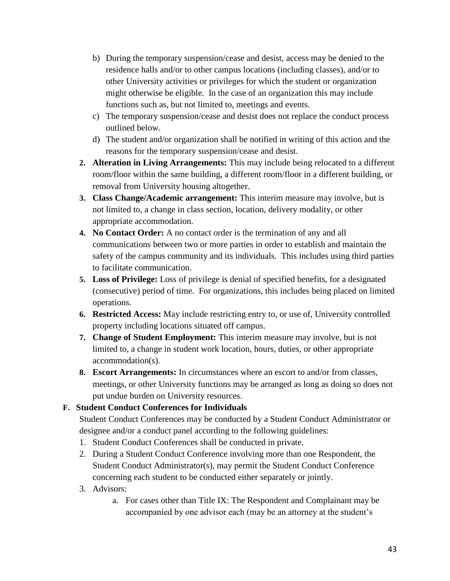- b) During the temporary suspension/cease and desist, access may be denied to the residence halls and/or to other campus locations (including classes), and/or to other University activities or privileges for which the student or organization might otherwise be eligible. In the case of an organization this may include functions such as, but not limited to, meetings and events.
- c) The temporary suspension/cease and desist does not replace the conduct process outlined below.
- d) The student and/or organization shall be notified in writing of this action and the reasons for the temporary suspension/cease and desist.
- **2. Alteration in Living Arrangements:** This may include being relocated to a different room/floor within the same building, a different room/floor in a different building, or removal from University housing altogether.
- **3. Class Change/Academic arrangement:** This interim measure may involve, but is not limited to, a change in class section, location, delivery modality, or other appropriate accommodation.
- **4. No Contact Order:** A no contact order is the termination of any and all communications between two or more parties in order to establish and maintain the safety of the campus community and its individuals. This includes using third parties to facilitate communication.
- **5. Loss of Privilege:** Loss of privilege is denial of specified benefits, for a designated (consecutive) period of time. For organizations, this includes being placed on limited operations.
- **6. Restricted Access:** May include restricting entry to, or use of, University controlled property including locations situated off campus.
- **7. Change of Student Employment:** This interim measure may involve, but is not limited to, a change in student work location, hours, duties, or other appropriate accommodation(s).
- **8. Escort Arrangements:** In circumstances where an escort to and/or from classes, meetings, or other University functions may be arranged as long as doing so does not put undue burden on University resources.

# **F. Student Conduct Conferences for Individuals**

Student Conduct Conferences may be conducted by a Student Conduct Administrator or designee and/or a conduct panel according to the following guidelines:

- 1. Student Conduct Conferences shall be conducted in private.
- 2. During a Student Conduct Conference involving more than one Respondent, the Student Conduct Administrator(s), may permit the Student Conduct Conference concerning each student to be conducted either separately or jointly.
- 3. Advisors:
	- a. For cases other than Title IX: The Respondent and Complainant may be accompanied by one advisor each (may be an attorney at the student's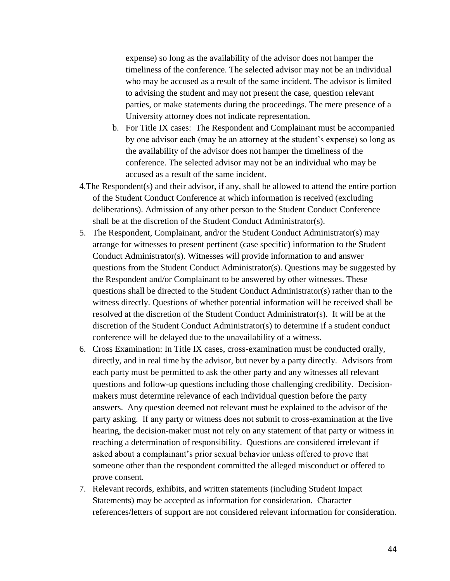expense) so long as the availability of the advisor does not hamper the timeliness of the conference. The selected advisor may not be an individual who may be accused as a result of the same incident. The advisor is limited to advising the student and may not present the case, question relevant parties, or make statements during the proceedings. The mere presence of a University attorney does not indicate representation.

- b. For Title IX cases: The Respondent and Complainant must be accompanied by one advisor each (may be an attorney at the student's expense) so long as the availability of the advisor does not hamper the timeliness of the conference. The selected advisor may not be an individual who may be accused as a result of the same incident.
- 4.The Respondent(s) and their advisor, if any, shall be allowed to attend the entire portion of the Student Conduct Conference at which information is received (excluding deliberations). Admission of any other person to the Student Conduct Conference shall be at the discretion of the Student Conduct Administrator(s).
- 5. The Respondent, Complainant, and/or the Student Conduct Administrator(s) may arrange for witnesses to present pertinent (case specific) information to the Student Conduct Administrator(s). Witnesses will provide information to and answer questions from the Student Conduct Administrator(s). Questions may be suggested by the Respondent and/or Complainant to be answered by other witnesses. These questions shall be directed to the Student Conduct Administrator(s) rather than to the witness directly. Questions of whether potential information will be received shall be resolved at the discretion of the Student Conduct Administrator(s). It will be at the discretion of the Student Conduct Administrator(s) to determine if a student conduct conference will be delayed due to the unavailability of a witness.
- 6. Cross Examination: In Title IX cases, cross-examination must be conducted orally, directly, and in real time by the advisor, but never by a party directly. Advisors from each party must be permitted to ask the other party and any witnesses all relevant questions and follow-up questions including those challenging credibility. Decisionmakers must determine relevance of each individual question before the party answers. Any question deemed not relevant must be explained to the advisor of the party asking. If any party or witness does not submit to cross-examination at the live hearing, the decision-maker must not rely on any statement of that party or witness in reaching a determination of responsibility. Questions are considered irrelevant if asked about a complainant's prior sexual behavior unless offered to prove that someone other than the respondent committed the alleged misconduct or offered to prove consent.
- 7. Relevant records, exhibits, and written statements (including Student Impact Statements) may be accepted as information for consideration. Character references/letters of support are not considered relevant information for consideration.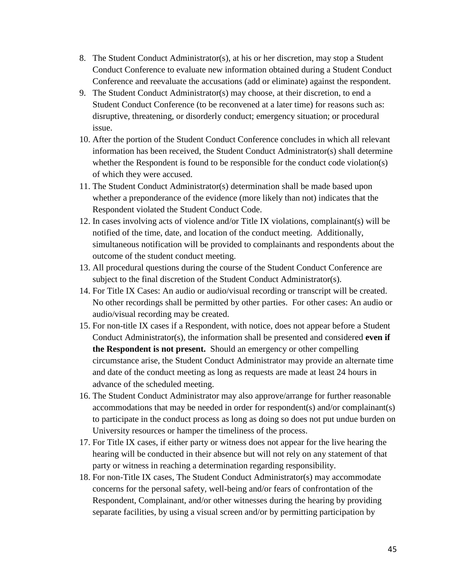- 8. The Student Conduct Administrator(s), at his or her discretion, may stop a Student Conduct Conference to evaluate new information obtained during a Student Conduct Conference and reevaluate the accusations (add or eliminate) against the respondent.
- 9. The Student Conduct Administrator(s) may choose, at their discretion, to end a Student Conduct Conference (to be reconvened at a later time) for reasons such as: disruptive, threatening, or disorderly conduct; emergency situation; or procedural issue.
- 10. After the portion of the Student Conduct Conference concludes in which all relevant information has been received, the Student Conduct Administrator(s) shall determine whether the Respondent is found to be responsible for the conduct code violation(s) of which they were accused.
- 11. The Student Conduct Administrator(s) determination shall be made based upon whether a preponderance of the evidence (more likely than not) indicates that the Respondent violated the Student Conduct Code.
- 12. In cases involving acts of violence and/or Title IX violations, complainant(s) will be notified of the time, date, and location of the conduct meeting. Additionally, simultaneous notification will be provided to complainants and respondents about the outcome of the student conduct meeting.
- 13. All procedural questions during the course of the Student Conduct Conference are subject to the final discretion of the Student Conduct Administrator(s).
- 14. For Title IX Cases: An audio or audio/visual recording or transcript will be created. No other recordings shall be permitted by other parties. For other cases: An audio or audio/visual recording may be created.
- 15. For non-title IX cases if a Respondent, with notice, does not appear before a Student Conduct Administrator(s), the information shall be presented and considered **even if the Respondent is not present.** Should an emergency or other compelling circumstance arise, the Student Conduct Administrator may provide an alternate time and date of the conduct meeting as long as requests are made at least 24 hours in advance of the scheduled meeting.
- 16. The Student Conduct Administrator may also approve/arrange for further reasonable accommodations that may be needed in order for respondent(s) and/or complainant(s) to participate in the conduct process as long as doing so does not put undue burden on University resources or hamper the timeliness of the process.
- 17. For Title IX cases, if either party or witness does not appear for the live hearing the hearing will be conducted in their absence but will not rely on any statement of that party or witness in reaching a determination regarding responsibility.
- 18. For non-Title IX cases, The Student Conduct Administrator(s) may accommodate concerns for the personal safety, well-being and/or fears of confrontation of the Respondent, Complainant, and/or other witnesses during the hearing by providing separate facilities, by using a visual screen and/or by permitting participation by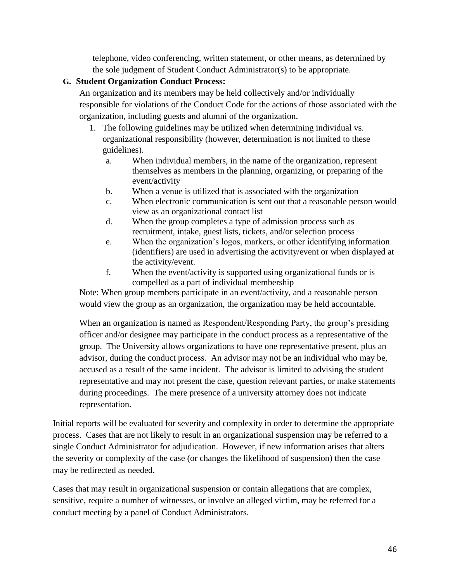telephone, video conferencing, written statement, or other means, as determined by the sole judgment of Student Conduct Administrator(s) to be appropriate.

# **G. Student Organization Conduct Process:**

An organization and its members may be held collectively and/or individually responsible for violations of the Conduct Code for the actions of those associated with the organization, including guests and alumni of the organization.

- 1. The following guidelines may be utilized when determining individual vs. organizational responsibility (however, determination is not limited to these guidelines).
	- a. When individual members, in the name of the organization, represent themselves as members in the planning, organizing, or preparing of the event/activity
	- b. When a venue is utilized that is associated with the organization
	- c. When electronic communication is sent out that a reasonable person would view as an organizational contact list
	- d. When the group completes a type of admission process such as recruitment, intake, guest lists, tickets, and/or selection process
	- e. When the organization's logos, markers, or other identifying information (identifiers) are used in advertising the activity/event or when displayed at the activity/event.
	- f. When the event/activity is supported using organizational funds or is compelled as a part of individual membership

Note: When group members participate in an event/activity, and a reasonable person would view the group as an organization, the organization may be held accountable.

When an organization is named as Respondent/Responding Party, the group's presiding officer and/or designee may participate in the conduct process as a representative of the group. The University allows organizations to have one representative present, plus an advisor, during the conduct process. An advisor may not be an individual who may be, accused as a result of the same incident. The advisor is limited to advising the student representative and may not present the case, question relevant parties, or make statements during proceedings. The mere presence of a university attorney does not indicate representation.

Initial reports will be evaluated for severity and complexity in order to determine the appropriate process. Cases that are not likely to result in an organizational suspension may be referred to a single Conduct Administrator for adjudication. However, if new information arises that alters the severity or complexity of the case (or changes the likelihood of suspension) then the case may be redirected as needed.

Cases that may result in organizational suspension or contain allegations that are complex, sensitive, require a number of witnesses, or involve an alleged victim, may be referred for a conduct meeting by a panel of Conduct Administrators.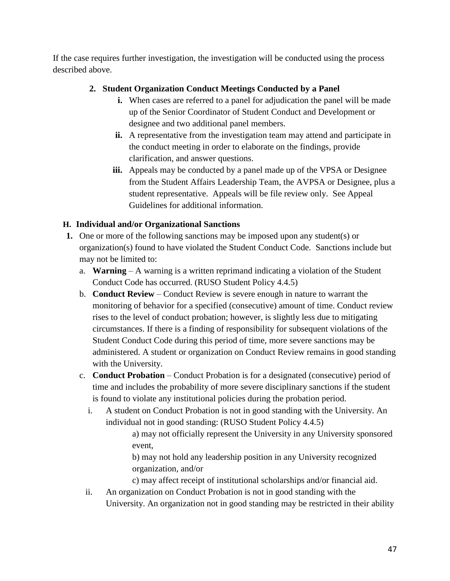If the case requires further investigation, the investigation will be conducted using the process described above.

# **2. Student Organization Conduct Meetings Conducted by a Panel**

- **i.** When cases are referred to a panel for adjudication the panel will be made up of the Senior Coordinator of Student Conduct and Development or designee and two additional panel members.
- **ii.** A representative from the investigation team may attend and participate in the conduct meeting in order to elaborate on the findings, provide clarification, and answer questions.
- **iii.** Appeals may be conducted by a panel made up of the VPSA or Designee from the Student Affairs Leadership Team, the AVPSA or Designee, plus a student representative. Appeals will be file review only. See Appeal Guidelines for additional information.

# **H. Individual and/or Organizational Sanctions**

- **1.** One or more of the following sanctions may be imposed upon any student(s) or organization(s) found to have violated the Student Conduct Code. Sanctions include but may not be limited to:
	- a. **Warning**  A warning is a written reprimand indicating a violation of the Student Conduct Code has occurred. (RUSO Student Policy 4.4.5)
	- b. **Conduct Review** Conduct Review is severe enough in nature to warrant the monitoring of behavior for a specified (consecutive) amount of time. Conduct review rises to the level of conduct probation; however, is slightly less due to mitigating circumstances. If there is a finding of responsibility for subsequent violations of the Student Conduct Code during this period of time, more severe sanctions may be administered. A student or organization on Conduct Review remains in good standing with the University.
	- c. **Conduct Probation**  Conduct Probation is for a designated (consecutive) period of time and includes the probability of more severe disciplinary sanctions if the student is found to violate any institutional policies during the probation period.
		- i. A student on Conduct Probation is not in good standing with the University. An individual not in good standing: (RUSO Student Policy 4.4.5)

a) may not officially represent the University in any University sponsored event,

b) may not hold any leadership position in any University recognized organization, and/or

c) may affect receipt of institutional scholarships and/or financial aid.

ii. An organization on Conduct Probation is not in good standing with the University. An organization not in good standing may be restricted in their ability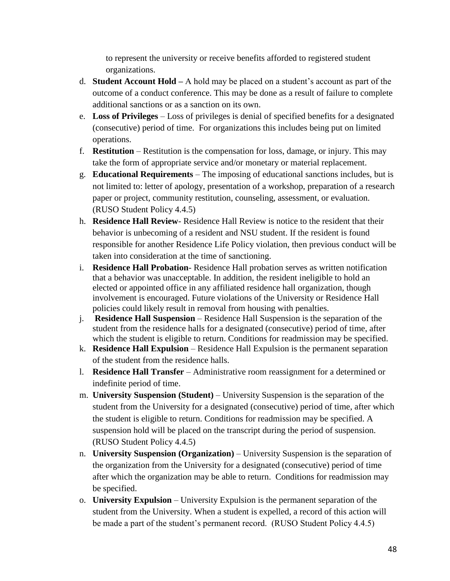to represent the university or receive benefits afforded to registered student organizations.

- d. **Student Account Hold –** A hold may be placed on a student's account as part of the outcome of a conduct conference. This may be done as a result of failure to complete additional sanctions or as a sanction on its own.
- e. **Loss of Privileges**  Loss of privileges is denial of specified benefits for a designated (consecutive) period of time. For organizations this includes being put on limited operations.
- f. **Restitution**  Restitution is the compensation for loss, damage, or injury. This may take the form of appropriate service and/or monetary or material replacement.
- g. **Educational Requirements**  The imposing of educational sanctions includes, but is not limited to: letter of apology, presentation of a workshop, preparation of a research paper or project, community restitution, counseling, assessment, or evaluation. (RUSO Student Policy 4.4.5)
- h. **Residence Hall Review** Residence Hall Review is notice to the resident that their behavior is unbecoming of a resident and NSU student. If the resident is found responsible for another Residence Life Policy violation, then previous conduct will be taken into consideration at the time of sanctioning.
- i. **Residence Hall Probation** Residence Hall probation serves as written notification that a behavior was unacceptable. In addition, the resident ineligible to hold an elected or appointed office in any affiliated residence hall organization, though involvement is encouraged. Future violations of the University or Residence Hall policies could likely result in removal from housing with penalties.
- j. **Residence Hall Suspension**  Residence Hall Suspension is the separation of the student from the residence halls for a designated (consecutive) period of time, after which the student is eligible to return. Conditions for readmission may be specified.
- k. **Residence Hall Expulsion** Residence Hall Expulsion is the permanent separation of the student from the residence halls.
- l. **Residence Hall Transfer**  Administrative room reassignment for a determined or indefinite period of time.
- m. **University Suspension (Student)**  University Suspension is the separation of the student from the University for a designated (consecutive) period of time, after which the student is eligible to return. Conditions for readmission may be specified. A suspension hold will be placed on the transcript during the period of suspension. (RUSO Student Policy 4.4.5)
- n. **University Suspension (Organization)**  University Suspension is the separation of the organization from the University for a designated (consecutive) period of time after which the organization may be able to return. Conditions for readmission may be specified.
- o. **University Expulsion**  University Expulsion is the permanent separation of the student from the University. When a student is expelled, a record of this action will be made a part of the student's permanent record. (RUSO Student Policy 4.4.5)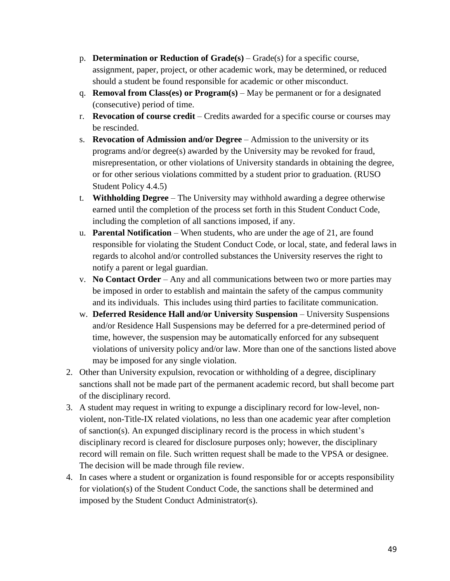- p. **Determination or Reduction of Grade(s)**  Grade(s) for a specific course, assignment, paper, project, or other academic work, may be determined, or reduced should a student be found responsible for academic or other misconduct.
- q. **Removal from Class(es) or Program(s)**  May be permanent or for a designated (consecutive) period of time.
- r. **Revocation of course credit**  Credits awarded for a specific course or courses may be rescinded.
- s. **Revocation of Admission and/or Degree**  Admission to the university or its programs and/or degree(s) awarded by the University may be revoked for fraud, misrepresentation, or other violations of University standards in obtaining the degree, or for other serious violations committed by a student prior to graduation. (RUSO Student Policy 4.4.5)
- t. **Withholding Degree**  The University may withhold awarding a degree otherwise earned until the completion of the process set forth in this Student Conduct Code, including the completion of all sanctions imposed, if any.
- u. **Parental Notification** When students, who are under the age of 21, are found responsible for violating the Student Conduct Code, or local, state, and federal laws in regards to alcohol and/or controlled substances the University reserves the right to notify a parent or legal guardian.
- v. **No Contact Order**  Any and all communications between two or more parties may be imposed in order to establish and maintain the safety of the campus community and its individuals. This includes using third parties to facilitate communication.
- w. **Deferred Residence Hall and/or University Suspension** University Suspensions and/or Residence Hall Suspensions may be deferred for a pre-determined period of time, however, the suspension may be automatically enforced for any subsequent violations of university policy and/or law. More than one of the sanctions listed above may be imposed for any single violation.
- 2. Other than University expulsion, revocation or withholding of a degree, disciplinary sanctions shall not be made part of the permanent academic record, but shall become part of the disciplinary record.
- 3. A student may request in writing to expunge a disciplinary record for low-level, nonviolent, non-Title-IX related violations, no less than one academic year after completion of sanction(s). An expunged disciplinary record is the process in which student's disciplinary record is cleared for disclosure purposes only; however, the disciplinary record will remain on file. Such written request shall be made to the VPSA or designee. The decision will be made through file review.
- 4. In cases where a student or organization is found responsible for or accepts responsibility for violation(s) of the Student Conduct Code, the sanctions shall be determined and imposed by the Student Conduct Administrator(s).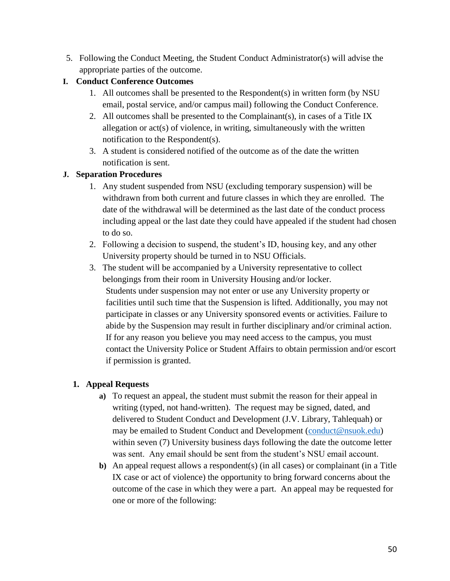5. Following the Conduct Meeting, the Student Conduct Administrator(s) will advise the appropriate parties of the outcome.

# **I. Conduct Conference Outcomes**

- 1. All outcomes shall be presented to the Respondent(s) in written form (by NSU email, postal service, and/or campus mail) following the Conduct Conference.
- 2. All outcomes shall be presented to the Complainant(s), in cases of a Title IX allegation or act(s) of violence, in writing, simultaneously with the written notification to the Respondent(s).
- 3. A student is considered notified of the outcome as of the date the written notification is sent.

# **J. Separation Procedures**

- 1. Any student suspended from NSU (excluding temporary suspension) will be withdrawn from both current and future classes in which they are enrolled. The date of the withdrawal will be determined as the last date of the conduct process including appeal or the last date they could have appealed if the student had chosen to do so.
- 2. Following a decision to suspend, the student's ID, housing key, and any other University property should be turned in to NSU Officials.
- 3. The student will be accompanied by a University representative to collect belongings from their room in University Housing and/or locker. Students under suspension may not enter or use any University property or facilities until such time that the Suspension is lifted. Additionally, you may not participate in classes or any University sponsored events or activities. Failure to abide by the Suspension may result in further disciplinary and/or criminal action. If for any reason you believe you may need access to the campus, you must contact the University Police or Student Affairs to obtain permission and/or escort if permission is granted.

# **1. Appeal Requests**

- **a)** To request an appeal, the student must submit the reason for their appeal in writing (typed, not hand-written). The request may be signed, dated, and delivered to Student Conduct and Development (J.V. Library, Tahlequah) or may be emailed to Student Conduct and Development [\(conduct@nsuok.edu\)](mailto:conduct@nsuok.edu) within seven (7) University business days following the date the outcome letter was sent. Any email should be sent from the student's NSU email account.
- **b)** An appeal request allows a respondent(s) (in all cases) or complainant (in a Title IX case or act of violence) the opportunity to bring forward concerns about the outcome of the case in which they were a part. An appeal may be requested for one or more of the following: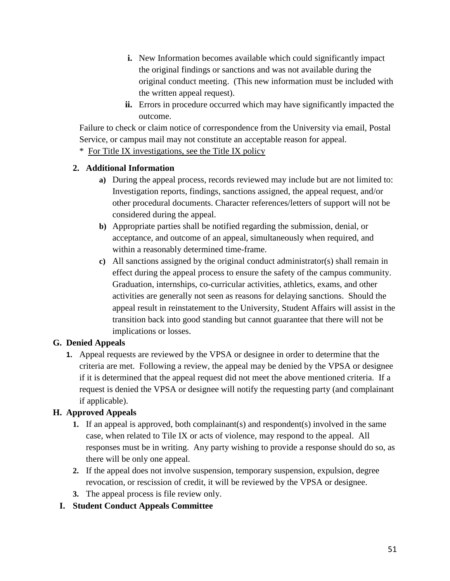- **i.** New Information becomes available which could significantly impact the original findings or sanctions and was not available during the original conduct meeting. (This new information must be included with the written appeal request).
- **ii.** Errors in procedure occurred which may have significantly impacted the outcome.

Failure to check or claim notice of correspondence from the University via email, Postal Service, or campus mail may not constitute an acceptable reason for appeal.

\* For Title IX investigations, see the Title IX policy

# **2. Additional Information**

- **a)** During the appeal process, records reviewed may include but are not limited to: Investigation reports, findings, sanctions assigned, the appeal request, and/or other procedural documents. Character references/letters of support will not be considered during the appeal.
- **b)** Appropriate parties shall be notified regarding the submission, denial, or acceptance, and outcome of an appeal, simultaneously when required, and within a reasonably determined time-frame.
- **c)** All sanctions assigned by the original conduct administrator(s) shall remain in effect during the appeal process to ensure the safety of the campus community. Graduation, internships, co-curricular activities, athletics, exams, and other activities are generally not seen as reasons for delaying sanctions. Should the appeal result in reinstatement to the University, Student Affairs will assist in the transition back into good standing but cannot guarantee that there will not be implications or losses.

# **G. Denied Appeals**

**1.** Appeal requests are reviewed by the VPSA or designee in order to determine that the criteria are met. Following a review, the appeal may be denied by the VPSA or designee if it is determined that the appeal request did not meet the above mentioned criteria. If a request is denied the VPSA or designee will notify the requesting party (and complainant if applicable).

# **H. Approved Appeals**

- **1.** If an appeal is approved, both complainant(s) and respondent(s) involved in the same case, when related to Tile IX or acts of violence, may respond to the appeal. All responses must be in writing. Any party wishing to provide a response should do so, as there will be only one appeal.
- **2.** If the appeal does not involve suspension, temporary suspension, expulsion, degree revocation, or rescission of credit, it will be reviewed by the VPSA or designee.
- **3.** The appeal process is file review only.

# **I. Student Conduct Appeals Committee**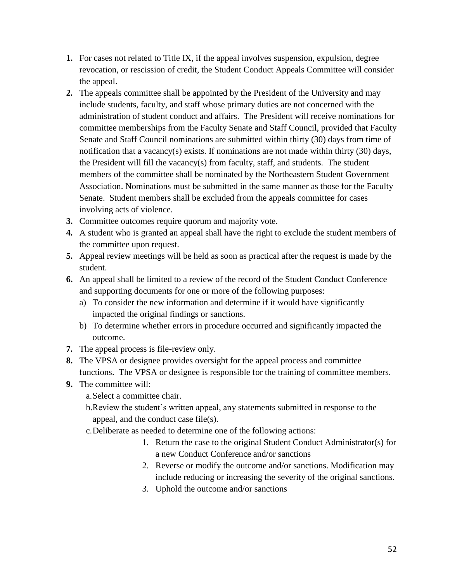- **1.** For cases not related to Title IX, if the appeal involves suspension, expulsion, degree revocation, or rescission of credit, the Student Conduct Appeals Committee will consider the appeal.
- **2.** The appeals committee shall be appointed by the President of the University and may include students, faculty, and staff whose primary duties are not concerned with the administration of student conduct and affairs. The President will receive nominations for committee memberships from the Faculty Senate and Staff Council, provided that Faculty Senate and Staff Council nominations are submitted within thirty (30) days from time of notification that a vacancy(s) exists. If nominations are not made within thirty (30) days, the President will fill the vacancy(s) from faculty, staff, and students. The student members of the committee shall be nominated by the Northeastern Student Government Association. Nominations must be submitted in the same manner as those for the Faculty Senate. Student members shall be excluded from the appeals committee for cases involving acts of violence.
- **3.** Committee outcomes require quorum and majority vote.
- **4.** A student who is granted an appeal shall have the right to exclude the student members of the committee upon request.
- **5.** Appeal review meetings will be held as soon as practical after the request is made by the student.
- **6.** An appeal shall be limited to a review of the record of the Student Conduct Conference and supporting documents for one or more of the following purposes:
	- a) To consider the new information and determine if it would have significantly impacted the original findings or sanctions.
	- b) To determine whether errors in procedure occurred and significantly impacted the outcome.
- **7.** The appeal process is file-review only.
- **8.** The VPSA or designee provides oversight for the appeal process and committee functions. The VPSA or designee is responsible for the training of committee members.
- **9.** The committee will:
	- a.Select a committee chair.
	- b.Review the student's written appeal, any statements submitted in response to the appeal, and the conduct case file(s).
	- c.Deliberate as needed to determine one of the following actions:
		- 1. Return the case to the original Student Conduct Administrator(s) for a new Conduct Conference and/or sanctions
		- 2. Reverse or modify the outcome and/or sanctions. Modification may include reducing or increasing the severity of the original sanctions.
		- 3. Uphold the outcome and/or sanctions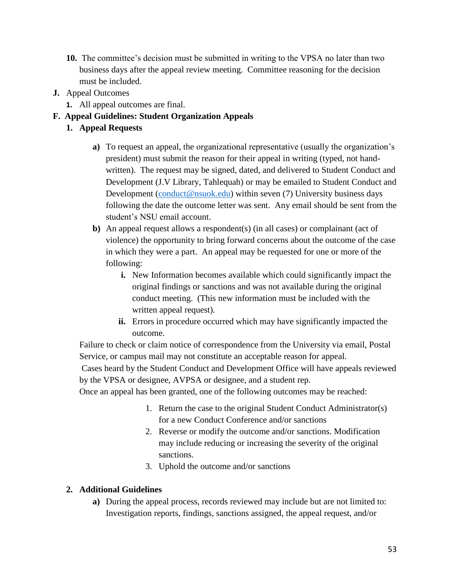- **10.** The committee's decision must be submitted in writing to the VPSA no later than two business days after the appeal review meeting. Committee reasoning for the decision must be included.
- **J.** Appeal Outcomes
	- **1.** All appeal outcomes are final.

# **F. Appeal Guidelines: Student Organization Appeals**

- **1. Appeal Requests**
	- **a)** To request an appeal, the organizational representative (usually the organization's president) must submit the reason for their appeal in writing (typed, not handwritten). The request may be signed, dated, and delivered to Student Conduct and Development (J.V Library, Tahlequah) or may be emailed to Student Conduct and Development [\(conduct@nsuok.edu\)](mailto:conduct@nsuok.edu) within seven (7) University business days following the date the outcome letter was sent. Any email should be sent from the student's NSU email account.
	- **b)** An appeal request allows a respondent(s) (in all cases) or complainant (act of violence) the opportunity to bring forward concerns about the outcome of the case in which they were a part. An appeal may be requested for one or more of the following:
		- **i.** New Information becomes available which could significantly impact the original findings or sanctions and was not available during the original conduct meeting. (This new information must be included with the written appeal request).
		- **ii.** Errors in procedure occurred which may have significantly impacted the outcome.

Failure to check or claim notice of correspondence from the University via email, Postal Service, or campus mail may not constitute an acceptable reason for appeal.

Cases heard by the Student Conduct and Development Office will have appeals reviewed by the VPSA or designee, AVPSA or designee, and a student rep.

Once an appeal has been granted, one of the following outcomes may be reached:

- 1. Return the case to the original Student Conduct Administrator(s) for a new Conduct Conference and/or sanctions
- 2. Reverse or modify the outcome and/or sanctions. Modification may include reducing or increasing the severity of the original sanctions.
- 3. Uphold the outcome and/or sanctions

# **2. Additional Guidelines**

**a)** During the appeal process, records reviewed may include but are not limited to: Investigation reports, findings, sanctions assigned, the appeal request, and/or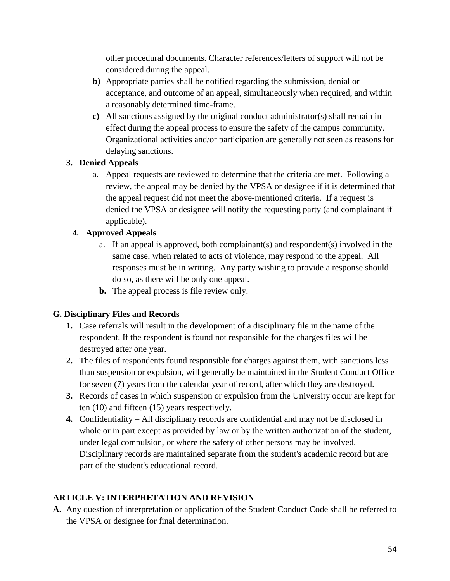other procedural documents. Character references/letters of support will not be considered during the appeal.

- **b)** Appropriate parties shall be notified regarding the submission, denial or acceptance, and outcome of an appeal, simultaneously when required, and within a reasonably determined time-frame.
- **c)** All sanctions assigned by the original conduct administrator(s) shall remain in effect during the appeal process to ensure the safety of the campus community. Organizational activities and/or participation are generally not seen as reasons for delaying sanctions.

# **3. Denied Appeals**

a. Appeal requests are reviewed to determine that the criteria are met. Following a review, the appeal may be denied by the VPSA or designee if it is determined that the appeal request did not meet the above-mentioned criteria. If a request is denied the VPSA or designee will notify the requesting party (and complainant if applicable).

# **4. Approved Appeals**

- a. If an appeal is approved, both complainant(s) and respondent(s) involved in the same case, when related to acts of violence, may respond to the appeal. All responses must be in writing. Any party wishing to provide a response should do so, as there will be only one appeal.
- **b.** The appeal process is file review only.

# **G. Disciplinary Files and Records**

- **1.** Case referrals will result in the development of a disciplinary file in the name of the respondent. If the respondent is found not responsible for the charges files will be destroyed after one year.
- **2.** The files of respondents found responsible for charges against them, with sanctions less than suspension or expulsion, will generally be maintained in the Student Conduct Office for seven (7) years from the calendar year of record, after which they are destroyed.
- **3.** Records of cases in which suspension or expulsion from the University occur are kept for ten (10) and fifteen (15) years respectively.
- **4.** Confidentiality All disciplinary records are confidential and may not be disclosed in whole or in part except as provided by law or by the written authorization of the student, under legal compulsion, or where the safety of other persons may be involved. Disciplinary records are maintained separate from the student's academic record but are part of the student's educational record.

# **ARTICLE V: INTERPRETATION AND REVISION**

**A.** Any question of interpretation or application of the Student Conduct Code shall be referred to the VPSA or designee for final determination.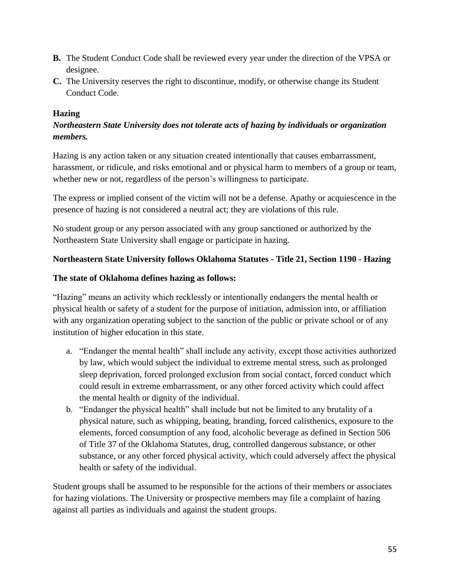- **B.** The Student Conduct Code shall be reviewed every year under the direction of the VPSA or designee.
- **C.** The University reserves the right to discontinue, modify, or otherwise change its Student Conduct Code.

# **Hazing**

# *Northeastern State University does not tolerate acts of hazing by individuals or organization members.*

Hazing is any action taken or any situation created intentionally that causes embarrassment, harassment, or ridicule, and risks emotional and or physical harm to members of a group or team, whether new or not, regardless of the person's willingness to participate.

The express or implied consent of the victim will not be a defense. Apathy or acquiescence in the presence of hazing is not considered a neutral act; they are violations of this rule.

No student group or any person associated with any group sanctioned or authorized by the Northeastern State University shall engage or participate in hazing.

## **Northeastern State University follows Oklahoma Statutes - Title 21, Section 1190 - Hazing**

#### **The state of Oklahoma defines hazing as follows:**

"Hazing" means an activity which recklessly or intentionally endangers the mental health or physical health or safety of a student for the purpose of initiation, admission into, or affiliation with any organization operating subject to the sanction of the public or private school or of any institution of higher education in this state.

- a. "Endanger the mental health" shall include any activity, except those activities authorized by law, which would subject the individual to extreme mental stress, such as prolonged sleep deprivation, forced prolonged exclusion from social contact, forced conduct which could result in extreme embarrassment, or any other forced activity which could affect the mental health or dignity of the individual.
- b. "Endanger the physical health" shall include but not be limited to any brutality of a physical nature, such as whipping, beating, branding, forced calisthenics, exposure to the elements, forced consumption of any food, alcoholic beverage as defined in Section 506 of Title 37 of the Oklahoma Statutes, drug, controlled dangerous substance, or other substance, or any other forced physical activity, which could adversely affect the physical health or safety of the individual.

Student groups shall be assumed to be responsible for the actions of their members or associates for hazing violations. The University or prospective members may file a complaint of hazing against all parties as individuals and against the student groups.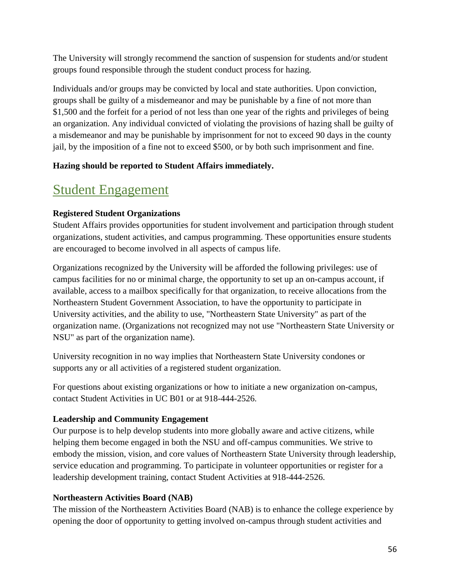The University will strongly recommend the sanction of suspension for students and/or student groups found responsible through the student conduct process for hazing.

Individuals and/or groups may be convicted by local and state authorities. Upon conviction, groups shall be guilty of a misdemeanor and may be punishable by a fine of not more than \$1,500 and the forfeit for a period of not less than one year of the rights and privileges of being an organization. Any individual convicted of violating the provisions of hazing shall be guilty of a misdemeanor and may be punishable by imprisonment for not to exceed 90 days in the county jail, by the imposition of a fine not to exceed \$500, or by both such imprisonment and fine.

# **Hazing should be reported to Student Affairs immediately.**

# Student Engagement

# **Registered Student Organizations**

Student Affairs provides opportunities for student involvement and participation through student organizations, student activities, and campus programming. These opportunities ensure students are encouraged to become involved in all aspects of campus life.

Organizations recognized by the University will be afforded the following privileges: use of campus facilities for no or minimal charge, the opportunity to set up an on-campus account, if available, access to a mailbox specifically for that organization, to receive allocations from the Northeastern Student Government Association, to have the opportunity to participate in University activities, and the ability to use, "Northeastern State University" as part of the organization name. (Organizations not recognized may not use "Northeastern State University or NSU" as part of the organization name).

University recognition in no way implies that Northeastern State University condones or supports any or all activities of a registered student organization.

For questions about existing organizations or how to initiate a new organization on-campus, contact Student Activities in UC B01 or at 918-444-2526.

# **Leadership and Community Engagement**

Our purpose is to help develop students into more globally aware and active citizens, while helping them become engaged in both the NSU and off-campus communities. We strive to embody the mission, vision, and core values of Northeastern State University through leadership, service education and programming. To participate in volunteer opportunities or register for a leadership development training, contact Student Activities at 918-444-2526.

# **Northeastern Activities Board (NAB)**

The mission of the Northeastern Activities Board (NAB) is to enhance the college experience by opening the door of opportunity to getting involved on-campus through student activities and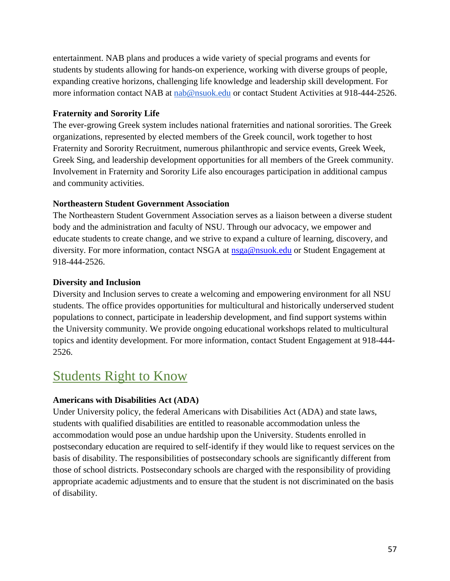entertainment. NAB plans and produces a wide variety of special programs and events for students by students allowing for hands-on experience, working with diverse groups of people, expanding creative horizons, challenging life knowledge and leadership skill development. For more information contact NAB at [nab@nsuok.edu](mailto:nab@nsuok.edu) or contact Student Activities at 918-444-2526.

#### **Fraternity and Sorority Life**

The ever-growing Greek system includes national fraternities and national sororities. The Greek organizations, represented by elected members of the Greek council, work together to host Fraternity and Sorority Recruitment, numerous philanthropic and service events, Greek Week, Greek Sing, and leadership development opportunities for all members of the Greek community. Involvement in Fraternity and Sorority Life also encourages participation in additional campus and community activities.

## **Northeastern Student Government Association**

The Northeastern Student Government Association serves as a liaison between a diverse student body and the administration and faculty of NSU. Through our advocacy, we empower and educate students to create change, and we strive to expand a culture of learning, discovery, and diversity. For more information, contact NSGA at [nsga@nsuok.edu](mailto:nsga@nsuok.edu) or Student Engagement at 918-444-2526.

## **Diversity and Inclusion**

Diversity and Inclusion serves to create a welcoming and empowering environment for all NSU students. The office provides opportunities for multicultural and historically underserved student populations to connect, participate in leadership development, and find support systems within the University community. We provide ongoing educational workshops related to multicultural topics and identity development. For more information, contact Student Engagement at 918-444- 2526.

# Students Right to Know

# **Americans with Disabilities Act (ADA)**

Under University policy, the federal Americans with Disabilities Act (ADA) and state laws, students with qualified disabilities are entitled to reasonable accommodation unless the accommodation would pose an undue hardship upon the University. Students enrolled in postsecondary education are required to self-identify if they would like to request services on the basis of disability. The responsibilities of postsecondary schools are significantly different from those of school districts. Postsecondary schools are charged with the responsibility of providing appropriate academic adjustments and to ensure that the student is not discriminated on the basis of disability.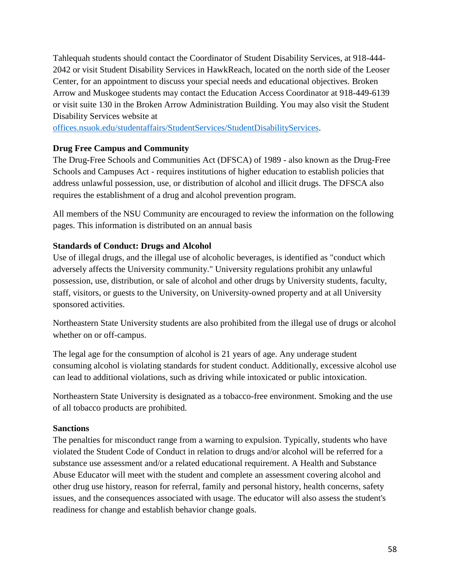Tahlequah students should contact the Coordinator of Student Disability Services, at 918-444- 2042 or visit Student Disability Services in HawkReach, located on the north side of the Leoser Center, for an appointment to discuss your special needs and educational objectives. Broken Arrow and Muskogee students may contact the Education Access Coordinator at 918-449-6139 or visit suite 130 in the Broken Arrow Administration Building. You may also visit the Student Disability Services website at

[offices.nsuok.edu/studentaffairs/StudentServices/StudentDisabilityServices.](https://offices.nsuok.edu/studentaffairs/StudentServices/StudentDisabilityServices.aspx)

## **Drug Free Campus and Community**

The Drug-Free Schools and Communities Act (DFSCA) of 1989 - also known as the Drug-Free Schools and Campuses Act - requires institutions of higher education to establish policies that address unlawful possession, use, or distribution of alcohol and illicit drugs. The DFSCA also requires the establishment of a drug and alcohol prevention program.

All members of the NSU Community are encouraged to review the information on the following pages. This information is distributed on an annual basis

## **Standards of Conduct: Drugs and Alcohol**

Use of illegal drugs, and the illegal use of alcoholic beverages, is identified as "conduct which adversely affects the University community." University regulations prohibit any unlawful possession, use, distribution, or sale of alcohol and other drugs by University students, faculty, staff, visitors, or guests to the University, on University-owned property and at all University sponsored activities.

Northeastern State University students are also prohibited from the illegal use of drugs or alcohol whether on or off-campus.

The legal age for the consumption of alcohol is 21 years of age. Any underage student consuming alcohol is violating standards for student conduct. Additionally, excessive alcohol use can lead to additional violations, such as driving while intoxicated or public intoxication.

Northeastern State University is designated as a tobacco-free environment. Smoking and the use of all tobacco products are prohibited.

#### **Sanctions**

The penalties for misconduct range from a warning to expulsion. Typically, students who have violated the Student Code of Conduct in relation to drugs and/or alcohol will be referred for a substance use assessment and/or a related educational requirement. A Health and Substance Abuse Educator will meet with the student and complete an assessment covering alcohol and other drug use history, reason for referral, family and personal history, health concerns, safety issues, and the consequences associated with usage. The educator will also assess the student's readiness for change and establish behavior change goals.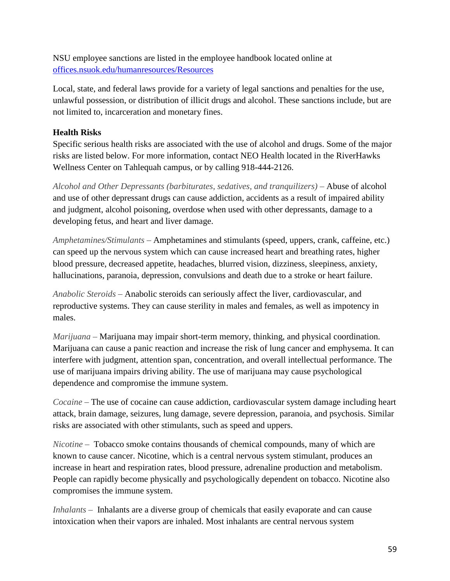NSU employee sanctions are listed in the employee handbook located online at [offices.nsuok.edu/humanresources/Resources](https://offices.nsuok.edu/humanresources/Resources)

Local, state, and federal laws provide for a variety of legal sanctions and penalties for the use, unlawful possession, or distribution of illicit drugs and alcohol. These sanctions include, but are not limited to, incarceration and monetary fines.

# **Health Risks**

Specific serious health risks are associated with the use of alcohol and drugs. Some of the major risks are listed below. For more information, contact NEO Health located in the RiverHawks Wellness Center on Tahlequah campus, or by calling 918-444-2126.

*Alcohol and Other Depressants (barbiturates, sedatives, and tranquilizers)* – Abuse of alcohol and use of other depressant drugs can cause addiction, accidents as a result of impaired ability and judgment, alcohol poisoning, overdose when used with other depressants, damage to a developing fetus, and heart and liver damage.

*Amphetamines/Stimulants* – Amphetamines and stimulants (speed, uppers, crank, caffeine, etc.) can speed up the nervous system which can cause increased heart and breathing rates, higher blood pressure, decreased appetite, headaches, blurred vision, dizziness, sleepiness, anxiety, hallucinations, paranoia, depression, convulsions and death due to a stroke or heart failure.

*Anabolic Steroids* – Anabolic steroids can seriously affect the liver, cardiovascular, and reproductive systems. They can cause sterility in males and females, as well as impotency in males.

*Marijuana* – Marijuana may impair short-term memory, thinking, and physical coordination. Marijuana can cause a panic reaction and increase the risk of lung cancer and emphysema. It can interfere with judgment, attention span, concentration, and overall intellectual performance. The use of marijuana impairs driving ability. The use of marijuana may cause psychological dependence and compromise the immune system.

*Cocaine* – The use of cocaine can cause addiction, cardiovascular system damage including heart attack, brain damage, seizures, lung damage, severe depression, paranoia, and psychosis. Similar risks are associated with other stimulants, such as speed and uppers.

*Nicotine* – Tobacco smoke contains thousands of chemical compounds, many of which are known to cause cancer. Nicotine, which is a central nervous system stimulant, produces an increase in heart and respiration rates, blood pressure, adrenaline production and metabolism. People can rapidly become physically and psychologically dependent on tobacco. Nicotine also compromises the immune system.

*Inhalants* – Inhalants are a diverse group of chemicals that easily evaporate and can cause intoxication when their vapors are inhaled. Most inhalants are central nervous system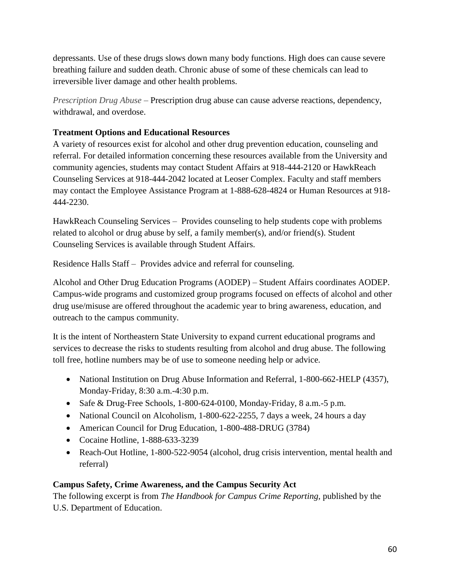depressants. Use of these drugs slows down many body functions. High does can cause severe breathing failure and sudden death. Chronic abuse of some of these chemicals can lead to irreversible liver damage and other health problems.

*Prescription Drug Abuse* – Prescription drug abuse can cause adverse reactions, dependency, withdrawal, and overdose.

## **Treatment Options and Educational Resources**

A variety of resources exist for alcohol and other drug prevention education, counseling and referral. For detailed information concerning these resources available from the University and community agencies, students may contact Student Affairs at 918-444-2120 or HawkReach Counseling Services at 918-444-2042 located at Leoser Complex. Faculty and staff members may contact the Employee Assistance Program at 1-888-628-4824 or Human Resources at 918- 444-2230.

HawkReach Counseling Services – Provides counseling to help students cope with problems related to alcohol or drug abuse by self, a family member(s), and/or friend(s). Student Counseling Services is available through Student Affairs.

Residence Halls Staff – Provides advice and referral for counseling.

Alcohol and Other Drug Education Programs (AODEP) – Student Affairs coordinates AODEP. Campus-wide programs and customized group programs focused on effects of alcohol and other drug use/misuse are offered throughout the academic year to bring awareness, education, and outreach to the campus community.

It is the intent of Northeastern State University to expand current educational programs and services to decrease the risks to students resulting from alcohol and drug abuse. The following toll free, hotline numbers may be of use to someone needing help or advice.

- National Institution on Drug Abuse Information and Referral, 1-800-662-HELP (4357), Monday-Friday, 8:30 a.m.-4:30 p.m.
- Safe & Drug-Free Schools, 1-800-624-0100, Monday-Friday, 8 a.m. -5 p.m.
- National Council on Alcoholism, 1-800-622-2255, 7 days a week, 24 hours a day
- American Council for Drug Education, 1-800-488-DRUG (3784)
- Cocaine Hotline, 1-888-633-3239
- Reach-Out Hotline, 1-800-522-9054 (alcohol, drug crisis intervention, mental health and referral)

# **Campus Safety, Crime Awareness, and the Campus Security Act**

The following excerpt is from *The Handbook for Campus Crime Reporting,* published by the U.S. Department of Education.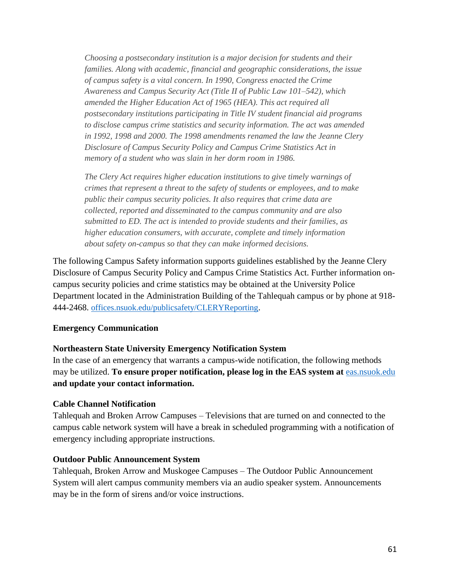*Choosing a postsecondary institution is a major decision for students and their families. Along with academic, financial and geographic considerations, the issue of campus safety is a vital concern. In 1990, Congress enacted the Crime Awareness and Campus Security Act (Title II of Public Law 101–542), which amended the Higher Education Act of 1965 (HEA). This act required all postsecondary institutions participating in Title IV student financial aid programs to disclose campus crime statistics and security information. The act was amended in 1992, 1998 and 2000. The 1998 amendments renamed the law the Jeanne Clery Disclosure of Campus Security Policy and Campus Crime Statistics Act in memory of a student who was slain in her dorm room in 1986.*

*The Clery Act requires higher education institutions to give timely warnings of crimes that represent a threat to the safety of students or employees, and to make public their campus security policies. It also requires that crime data are collected, reported and disseminated to the campus community and are also submitted to ED. The act is intended to provide students and their families, as higher education consumers, with accurate, complete and timely information about safety on-campus so that they can make informed decisions.*

The following Campus Safety information supports guidelines established by the Jeanne Clery Disclosure of Campus Security Policy and Campus Crime Statistics Act. Further information oncampus security policies and crime statistics may be obtained at the University Police Department located in the Administration Building of the Tahlequah campus or by phone at 918- 444-2468. [offices.nsuok.edu/publicsafety/CLERYReporting](https://offices.nsuok.edu/publicsafety/CLERYReporting.aspx).

#### **Emergency Communication**

#### **Northeastern State University Emergency Notification System**

In the case of an emergency that warrants a campus-wide notification, the following methods may be utilized. **To ensure proper notification, please log in the EAS system at** [eas.nsuok.edu](http://eas.nsuok.edu/) **and update your contact information.**

#### **Cable Channel Notification**

Tahlequah and Broken Arrow Campuses – Televisions that are turned on and connected to the campus cable network system will have a break in scheduled programming with a notification of emergency including appropriate instructions.

#### **Outdoor Public Announcement System**

Tahlequah, Broken Arrow and Muskogee Campuses – The Outdoor Public Announcement System will alert campus community members via an audio speaker system. Announcements may be in the form of sirens and/or voice instructions.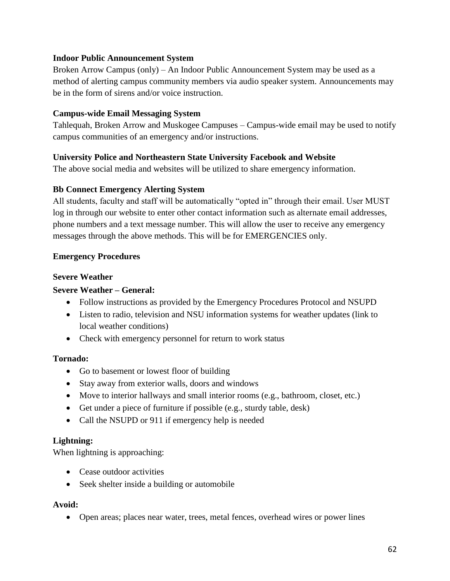#### **Indoor Public Announcement System**

Broken Arrow Campus (only) – An Indoor Public Announcement System may be used as a method of alerting campus community members via audio speaker system. Announcements may be in the form of sirens and/or voice instruction.

#### **Campus-wide Email Messaging System**

Tahlequah, Broken Arrow and Muskogee Campuses – Campus-wide email may be used to notify campus communities of an emergency and/or instructions.

#### **University Police and Northeastern State University Facebook and Website**

The above social media and websites will be utilized to share emergency information.

#### **Bb Connect Emergency Alerting System**

All students, faculty and staff will be automatically "opted in" through their email. User MUST log in through our website to enter other contact information such as alternate email addresses, phone numbers and a text message number. This will allow the user to receive any emergency messages through the above methods. This will be for EMERGENCIES only.

#### **Emergency Procedures**

#### **Severe Weather**

#### **Severe Weather – General:**

- Follow instructions as provided by the Emergency Procedures Protocol and NSUPD
- Listen to radio, television and NSU information systems for weather updates (link to local weather conditions)
- Check with emergency personnel for return to work status

#### **Tornado:**

- Go to basement or lowest floor of building
- Stay away from exterior walls, doors and windows
- Move to interior hallways and small interior rooms (e.g., bathroom, closet, etc.)
- Get under a piece of furniture if possible (e.g., sturdy table, desk)
- Call the NSUPD or 911 if emergency help is needed

#### **Lightning:**

When lightning is approaching:

- Cease outdoor activities
- Seek shelter inside a building or automobile

#### **Avoid:**

• Open areas; places near water, trees, metal fences, overhead wires or power lines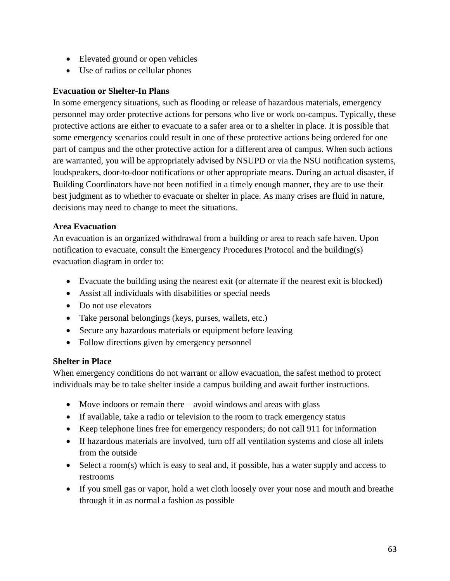- Elevated ground or open vehicles
- Use of radios or cellular phones

#### **Evacuation or Shelter-In Plans**

In some emergency situations, such as flooding or release of hazardous materials, emergency personnel may order protective actions for persons who live or work on-campus. Typically, these protective actions are either to evacuate to a safer area or to a shelter in place. It is possible that some emergency scenarios could result in one of these protective actions being ordered for one part of campus and the other protective action for a different area of campus. When such actions are warranted, you will be appropriately advised by NSUPD or via the NSU notification systems, loudspeakers, door-to-door notifications or other appropriate means. During an actual disaster, if Building Coordinators have not been notified in a timely enough manner, they are to use their best judgment as to whether to evacuate or shelter in place. As many crises are fluid in nature, decisions may need to change to meet the situations.

#### **Area Evacuation**

An evacuation is an organized withdrawal from a building or area to reach safe haven. Upon notification to evacuate, consult the Emergency Procedures Protocol and the building(s) evacuation diagram in order to:

- Evacuate the building using the nearest exit (or alternate if the nearest exit is blocked)
- Assist all individuals with disabilities or special needs
- Do not use elevators
- Take personal belongings (keys, purses, wallets, etc.)
- Secure any hazardous materials or equipment before leaving
- Follow directions given by emergency personnel

#### **Shelter in Place**

When emergency conditions do not warrant or allow evacuation, the safest method to protect individuals may be to take shelter inside a campus building and await further instructions.

- Move indoors or remain there avoid windows and areas with glass
- If available, take a radio or television to the room to track emergency status
- Keep telephone lines free for emergency responders; do not call 911 for information
- If hazardous materials are involved, turn off all ventilation systems and close all inlets from the outside
- Select a room(s) which is easy to seal and, if possible, has a water supply and access to restrooms
- If you smell gas or vapor, hold a wet cloth loosely over your nose and mouth and breathe through it in as normal a fashion as possible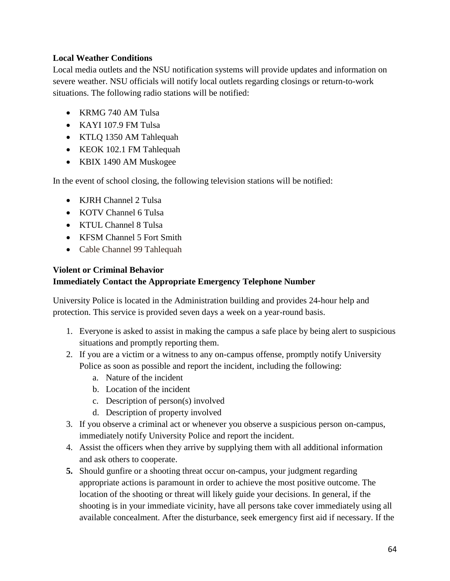## **Local Weather Conditions**

Local media outlets and the NSU notification systems will provide updates and information on severe weather. NSU officials will notify local outlets regarding closings or return-to-work situations. The following radio stations will be notified:

- KRMG 740 AM Tulsa
- KAYI 107.9 FM Tulsa
- KTLQ 1350 AM Tahlequah
- KEOK 102.1 FM Tahlequah
- KBIX 1490 AM Muskogee

In the event of school closing, the following television stations will be notified:

- KJRH Channel 2 Tulsa
- KOTV Channel 6 Tulsa
- KTUL Channel 8 Tulsa
- KFSM Channel 5 Fort Smith
- Cable Channel 99 Tahlequah

#### **Violent or Criminal Behavior Immediately Contact the Appropriate Emergency Telephone Number**

University Police is located in the Administration building and provides 24-hour help and protection. This service is provided seven days a week on a year-round basis.

- 1. Everyone is asked to assist in making the campus a safe place by being alert to suspicious situations and promptly reporting them.
- 2. If you are a victim or a witness to any on-campus offense, promptly notify University Police as soon as possible and report the incident, including the following:
	- a. Nature of the incident
	- b. Location of the incident
	- c. Description of person(s) involved
	- d. Description of property involved
- 3. If you observe a criminal act or whenever you observe a suspicious person on-campus, immediately notify University Police and report the incident.
- 4. Assist the officers when they arrive by supplying them with all additional information and ask others to cooperate.
- **5.** Should gunfire or a shooting threat occur on-campus, your judgment regarding appropriate actions is paramount in order to achieve the most positive outcome. The location of the shooting or threat will likely guide your decisions. In general, if the shooting is in your immediate vicinity, have all persons take cover immediately using all available concealment. After the disturbance, seek emergency first aid if necessary. If the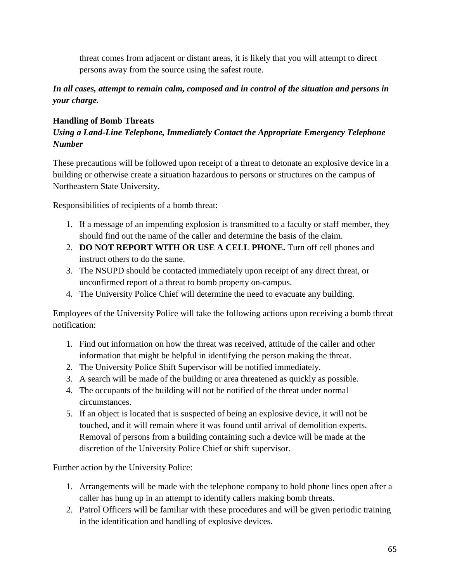threat comes from adjacent or distant areas, it is likely that you will attempt to direct persons away from the source using the safest route.

*In all cases, attempt to remain calm, composed and in control of the situation and persons in your charge.*

## **Handling of Bomb Threats**

# *Using a Land-Line Telephone, Immediately Contact the Appropriate Emergency Telephone Number*

These precautions will be followed upon receipt of a threat to detonate an explosive device in a building or otherwise create a situation hazardous to persons or structures on the campus of Northeastern State University.

Responsibilities of recipients of a bomb threat:

- 1. If a message of an impending explosion is transmitted to a faculty or staff member, they should find out the name of the caller and determine the basis of the claim.
- 2. **DO NOT REPORT WITH OR USE A CELL PHONE.** Turn off cell phones and instruct others to do the same.
- 3. The NSUPD should be contacted immediately upon receipt of any direct threat, or unconfirmed report of a threat to bomb property on-campus.
- 4. The University Police Chief will determine the need to evacuate any building.

Employees of the University Police will take the following actions upon receiving a bomb threat notification:

- 1. Find out information on how the threat was received, attitude of the caller and other information that might be helpful in identifying the person making the threat.
- 2. The University Police Shift Supervisor will be notified immediately.
- 3. A search will be made of the building or area threatened as quickly as possible.
- 4. The occupants of the building will not be notified of the threat under normal circumstances.
- 5. If an object is located that is suspected of being an explosive device, it will not be touched, and it will remain where it was found until arrival of demolition experts. Removal of persons from a building containing such a device will be made at the discretion of the University Police Chief or shift supervisor.

Further action by the University Police:

- 1. Arrangements will be made with the telephone company to hold phone lines open after a caller has hung up in an attempt to identify callers making bomb threats.
- 2. Patrol Officers will be familiar with these procedures and will be given periodic training in the identification and handling of explosive devices.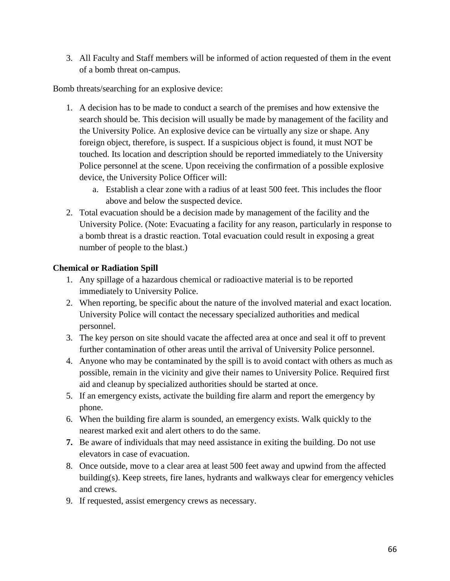3. All Faculty and Staff members will be informed of action requested of them in the event of a bomb threat on-campus.

Bomb threats/searching for an explosive device:

- 1. A decision has to be made to conduct a search of the premises and how extensive the search should be. This decision will usually be made by management of the facility and the University Police. An explosive device can be virtually any size or shape. Any foreign object, therefore, is suspect. If a suspicious object is found, it must NOT be touched. Its location and description should be reported immediately to the University Police personnel at the scene. Upon receiving the confirmation of a possible explosive device, the University Police Officer will:
	- a. Establish a clear zone with a radius of at least 500 feet. This includes the floor above and below the suspected device.
- 2. Total evacuation should be a decision made by management of the facility and the University Police. (Note: Evacuating a facility for any reason, particularly in response to a bomb threat is a drastic reaction. Total evacuation could result in exposing a great number of people to the blast.)

# **Chemical or Radiation Spill**

- 1. Any spillage of a hazardous chemical or radioactive material is to be reported immediately to University Police.
- 2. When reporting, be specific about the nature of the involved material and exact location. University Police will contact the necessary specialized authorities and medical personnel.
- 3. The key person on site should vacate the affected area at once and seal it off to prevent further contamination of other areas until the arrival of University Police personnel.
- 4. Anyone who may be contaminated by the spill is to avoid contact with others as much as possible, remain in the vicinity and give their names to University Police. Required first aid and cleanup by specialized authorities should be started at once.
- 5. If an emergency exists, activate the building fire alarm and report the emergency by phone.
- 6. When the building fire alarm is sounded, an emergency exists. Walk quickly to the nearest marked exit and alert others to do the same.
- **7.** Be aware of individuals that may need assistance in exiting the building. Do not use elevators in case of evacuation.
- 8. Once outside, move to a clear area at least 500 feet away and upwind from the affected building(s). Keep streets, fire lanes, hydrants and walkways clear for emergency vehicles and crews.
- 9. If requested, assist emergency crews as necessary.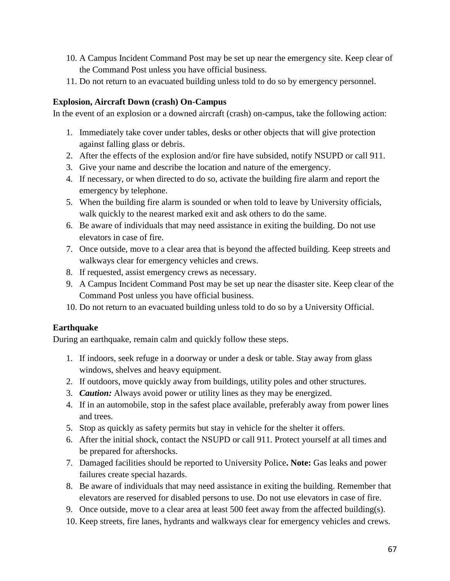- 10. A Campus Incident Command Post may be set up near the emergency site. Keep clear of the Command Post unless you have official business.
- 11. Do not return to an evacuated building unless told to do so by emergency personnel.

## **Explosion, Aircraft Down (crash) On-Campus**

In the event of an explosion or a downed aircraft (crash) on-campus, take the following action:

- 1. Immediately take cover under tables, desks or other objects that will give protection against falling glass or debris.
- 2. After the effects of the explosion and/or fire have subsided, notify NSUPD or call 911.
- 3. Give your name and describe the location and nature of the emergency.
- 4. If necessary, or when directed to do so, activate the building fire alarm and report the emergency by telephone.
- 5. When the building fire alarm is sounded or when told to leave by University officials, walk quickly to the nearest marked exit and ask others to do the same.
- 6. Be aware of individuals that may need assistance in exiting the building. Do not use elevators in case of fire.
- 7. Once outside, move to a clear area that is beyond the affected building. Keep streets and walkways clear for emergency vehicles and crews.
- 8. If requested, assist emergency crews as necessary.
- 9. A Campus Incident Command Post may be set up near the disaster site. Keep clear of the Command Post unless you have official business.
- 10. Do not return to an evacuated building unless told to do so by a University Official.

# **Earthquake**

During an earthquake, remain calm and quickly follow these steps.

- 1. If indoors, seek refuge in a doorway or under a desk or table. Stay away from glass windows, shelves and heavy equipment.
- 2. If outdoors, move quickly away from buildings, utility poles and other structures.
- 3. *Caution:* Always avoid power or utility lines as they may be energized.
- 4. If in an automobile, stop in the safest place available, preferably away from power lines and trees.
- 5. Stop as quickly as safety permits but stay in vehicle for the shelter it offers.
- 6. After the initial shock, contact the NSUPD or call 911. Protect yourself at all times and be prepared for aftershocks.
- 7. Damaged facilities should be reported to University Police**. Note:** Gas leaks and power failures create special hazards.
- 8. Be aware of individuals that may need assistance in exiting the building. Remember that elevators are reserved for disabled persons to use. Do not use elevators in case of fire.
- 9. Once outside, move to a clear area at least 500 feet away from the affected building(s).
- 10. Keep streets, fire lanes, hydrants and walkways clear for emergency vehicles and crews.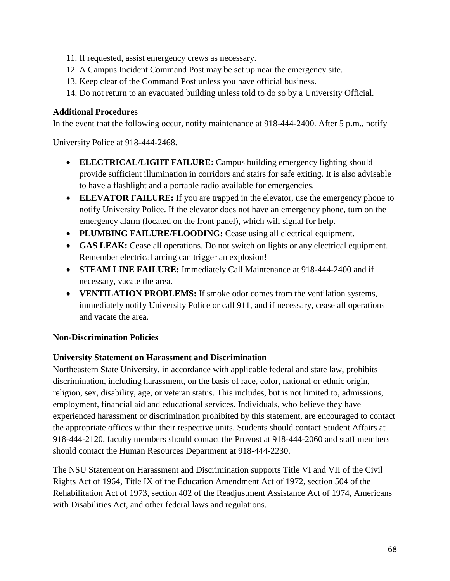- 11. If requested, assist emergency crews as necessary.
- 12. A Campus Incident Command Post may be set up near the emergency site.
- 13. Keep clear of the Command Post unless you have official business.
- 14. Do not return to an evacuated building unless told to do so by a University Official.

## **Additional Procedures**

In the event that the following occur, notify maintenance at 918-444-2400. After 5 p.m., notify

University Police at 918-444-2468.

- **ELECTRICAL/LIGHT FAILURE:** Campus building emergency lighting should provide sufficient illumination in corridors and stairs for safe exiting. It is also advisable to have a flashlight and a portable radio available for emergencies.
- **ELEVATOR FAILURE:** If you are trapped in the elevator, use the emergency phone to notify University Police. If the elevator does not have an emergency phone, turn on the emergency alarm (located on the front panel), which will signal for help.
- **PLUMBING FAILURE/FLOODING:** Cease using all electrical equipment.
- **GAS LEAK:** Cease all operations. Do not switch on lights or any electrical equipment. Remember electrical arcing can trigger an explosion!
- **STEAM LINE FAILURE:** Immediately Call Maintenance at 918-444-2400 and if necessary, vacate the area.
- **VENTILATION PROBLEMS:** If smoke odor comes from the ventilation systems, immediately notify University Police or call 911, and if necessary, cease all operations and vacate the area.

# **Non-Discrimination Policies**

#### **University Statement on Harassment and Discrimination**

Northeastern State University, in accordance with applicable federal and state law, prohibits discrimination, including harassment, on the basis of race, color, national or ethnic origin, religion, sex, disability, age, or veteran status. This includes, but is not limited to, admissions, employment, financial aid and educational services. Individuals, who believe they have experienced harassment or discrimination prohibited by this statement, are encouraged to contact the appropriate offices within their respective units. Students should contact Student Affairs at 918-444-2120, faculty members should contact the Provost at 918-444-2060 and staff members should contact the Human Resources Department at 918-444-2230.

The NSU Statement on Harassment and Discrimination supports Title VI and VII of the Civil Rights Act of 1964, Title IX of the Education Amendment Act of 1972, section 504 of the Rehabilitation Act of 1973, section 402 of the Readjustment Assistance Act of 1974, Americans with Disabilities Act, and other federal laws and regulations.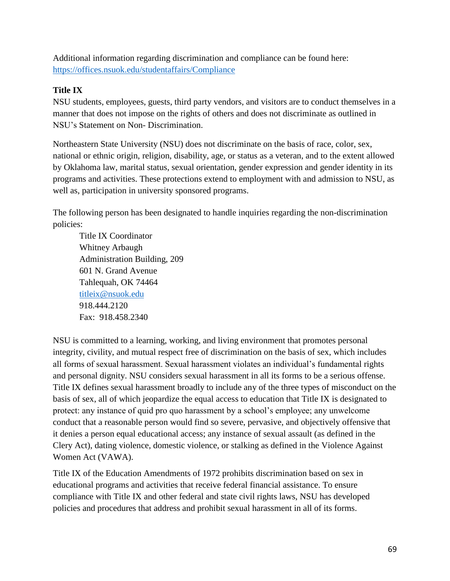Additional information regarding discrimination and compliance can be found here: <https://offices.nsuok.edu/studentaffairs/Compliance>

## **Title IX**

NSU students, employees, guests, third party vendors, and visitors are to conduct themselves in a manner that does not impose on the rights of others and does not discriminate as outlined in NSU's Statement on Non- Discrimination.

Northeastern State University (NSU) does not discriminate on the basis of race, color, sex, national or ethnic origin, religion, disability, age, or status as a veteran, and to the extent allowed by Oklahoma law, marital status, sexual orientation, gender expression and gender identity in its programs and activities. These protections extend to employment with and admission to NSU, as well as, participation in university sponsored programs.

The following person has been designated to handle inquiries regarding the non-discrimination policies:

Title IX Coordinator Whitney Arbaugh Administration Building, 209 601 N. Grand Avenue Tahlequah, OK 74464 [titleix@nsuok.edu](mailto:titleix@nsuok.edu) 918.444.2120 Fax: 918.458.2340

NSU is committed to a learning, working, and living environment that promotes personal integrity, civility, and mutual respect free of discrimination on the basis of sex, which includes all forms of sexual harassment. Sexual harassment violates an individual's fundamental rights and personal dignity. NSU considers sexual harassment in all its forms to be a serious offense. Title IX defines sexual harassment broadly to include any of the three types of misconduct on the basis of sex, all of which jeopardize the equal access to education that Title IX is designated to protect: any instance of quid pro quo harassment by a school's employee; any unwelcome conduct that a reasonable person would find so severe, pervasive, and objectively offensive that it denies a person equal educational access; any instance of sexual assault (as defined in the Clery Act), dating violence, domestic violence, or stalking as defined in the Violence Against Women Act (VAWA).

Title IX of the Education Amendments of 1972 prohibits discrimination based on sex in educational programs and activities that receive federal financial assistance. To ensure compliance with Title IX and other federal and state civil rights laws, NSU has developed policies and procedures that address and prohibit sexual harassment in all of its forms.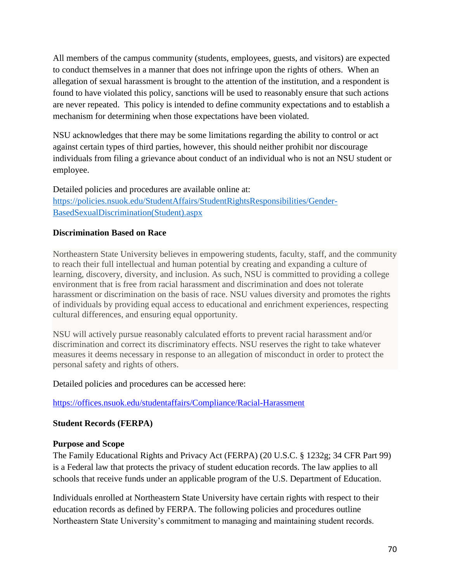All members of the campus community (students, employees, guests, and visitors) are expected to conduct themselves in a manner that does not infringe upon the rights of others. When an allegation of sexual harassment is brought to the attention of the institution, and a respondent is found to have violated this policy, sanctions will be used to reasonably ensure that such actions are never repeated. This policy is intended to define community expectations and to establish a mechanism for determining when those expectations have been violated.

NSU acknowledges that there may be some limitations regarding the ability to control or act against certain types of third parties, however, this should neither prohibit nor discourage individuals from filing a grievance about conduct of an individual who is not an NSU student or employee.

Detailed policies and procedures are available online at: [https://policies.nsuok.edu/StudentAffairs/StudentRightsResponsibilities/Gender-](https://policies.nsuok.edu/StudentAffairs/StudentRightsResponsibilities/Gender-BasedSexualDiscrimination(Student).aspx)[BasedSexualDiscrimination\(Student\).aspx](https://policies.nsuok.edu/StudentAffairs/StudentRightsResponsibilities/Gender-BasedSexualDiscrimination(Student).aspx)

#### **Discrimination Based on Race**

Northeastern State University believes in empowering students, faculty, staff, and the community to reach their full intellectual and human potential by creating and expanding a culture of learning, discovery, diversity, and inclusion. As such, NSU is committed to providing a college environment that is free from racial harassment and discrimination and does not tolerate harassment or discrimination on the basis of race. NSU values diversity and promotes the rights of individuals by providing equal access to educational and enrichment experiences, respecting cultural differences, and ensuring equal opportunity.

NSU will actively pursue reasonably calculated efforts to prevent racial harassment and/or discrimination and correct its discriminatory effects. NSU reserves the right to take whatever measures it deems necessary in response to an allegation of misconduct in order to protect the personal safety and rights of others.

Detailed policies and procedures can be accessed here:

<https://offices.nsuok.edu/studentaffairs/Compliance/Racial-Harassment>

# **Student Records (FERPA)**

#### **Purpose and Scope**

The Family Educational Rights and Privacy Act (FERPA) (20 U.S.C. § 1232g; 34 CFR Part 99) is a Federal law that protects the privacy of student education records. The law applies to all schools that receive funds under an applicable program of the U.S. Department of Education.

Individuals enrolled at Northeastern State University have certain rights with respect to their education records as defined by FERPA. The following policies and procedures outline Northeastern State University's commitment to managing and maintaining student records.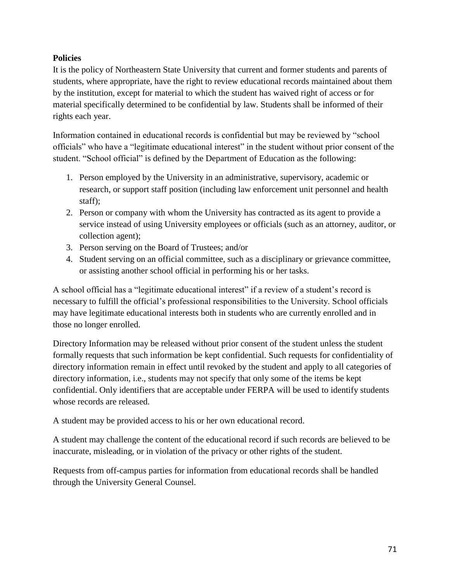## **Policies**

It is the policy of Northeastern State University that current and former students and parents of students, where appropriate, have the right to review educational records maintained about them by the institution, except for material to which the student has waived right of access or for material specifically determined to be confidential by law. Students shall be informed of their rights each year.

Information contained in educational records is confidential but may be reviewed by "school officials" who have a "legitimate educational interest" in the student without prior consent of the student. "School official" is defined by the Department of Education as the following:

- 1. Person employed by the University in an administrative, supervisory, academic or research, or support staff position (including law enforcement unit personnel and health staff);
- 2. Person or company with whom the University has contracted as its agent to provide a service instead of using University employees or officials (such as an attorney, auditor, or collection agent);
- 3. Person serving on the Board of Trustees; and/or
- 4. Student serving on an official committee, such as a disciplinary or grievance committee, or assisting another school official in performing his or her tasks.

A school official has a "legitimate educational interest" if a review of a student's record is necessary to fulfill the official's professional responsibilities to the University. School officials may have legitimate educational interests both in students who are currently enrolled and in those no longer enrolled.

Directory Information may be released without prior consent of the student unless the student formally requests that such information be kept confidential. Such requests for confidentiality of directory information remain in effect until revoked by the student and apply to all categories of directory information, i.e., students may not specify that only some of the items be kept confidential. Only identifiers that are acceptable under FERPA will be used to identify students whose records are released.

A student may be provided access to his or her own educational record.

A student may challenge the content of the educational record if such records are believed to be inaccurate, misleading, or in violation of the privacy or other rights of the student.

Requests from off-campus parties for information from educational records shall be handled through the University General Counsel.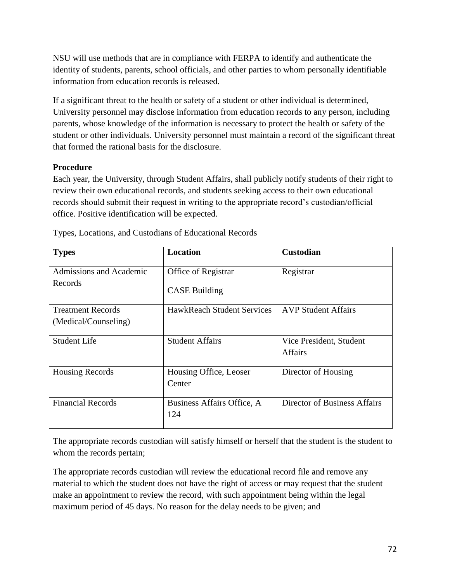NSU will use methods that are in compliance with FERPA to identify and authenticate the identity of students, parents, school officials, and other parties to whom personally identifiable information from education records is released.

If a significant threat to the health or safety of a student or other individual is determined, University personnel may disclose information from education records to any person, including parents, whose knowledge of the information is necessary to protect the health or safety of the student or other individuals. University personnel must maintain a record of the significant threat that formed the rational basis for the disclosure.

## **Procedure**

Each year, the University, through Student Affairs, shall publicly notify students of their right to review their own educational records, and students seeking access to their own educational records should submit their request in writing to the appropriate record's custodian/official office. Positive identification will be expected.

| <b>Types</b>             | <b>Location</b>                   | <b>Custodian</b>             |
|--------------------------|-----------------------------------|------------------------------|
| Admissions and Academic  | Office of Registrar               | Registrar                    |
| Records                  | <b>CASE Building</b>              |                              |
| <b>Treatment Records</b> | <b>HawkReach Student Services</b> | <b>AVP Student Affairs</b>   |
| (Medical/Counseling)     |                                   |                              |
| <b>Student Life</b>      | <b>Student Affairs</b>            | Vice President, Student      |
|                          |                                   | <b>Affairs</b>               |
| <b>Housing Records</b>   | Housing Office, Leoser            | Director of Housing          |
|                          | Center                            |                              |
| <b>Financial Records</b> | Business Affairs Office, A        | Director of Business Affairs |
|                          | 124                               |                              |

Types, Locations, and Custodians of Educational Records

The appropriate records custodian will satisfy himself or herself that the student is the student to whom the records pertain;

The appropriate records custodian will review the educational record file and remove any material to which the student does not have the right of access or may request that the student make an appointment to review the record, with such appointment being within the legal maximum period of 45 days. No reason for the delay needs to be given; and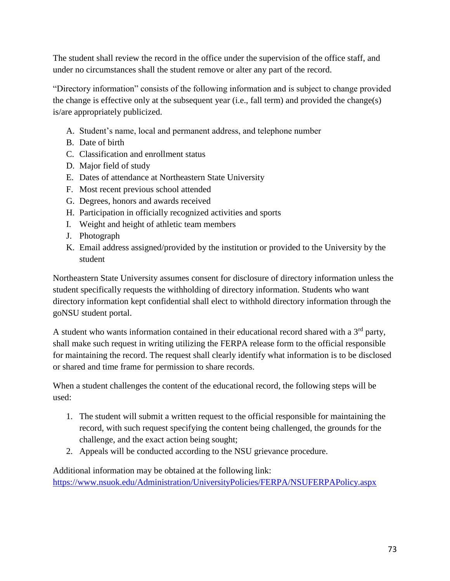The student shall review the record in the office under the supervision of the office staff, and under no circumstances shall the student remove or alter any part of the record.

"Directory information" consists of the following information and is subject to change provided the change is effective only at the subsequent year (i.e., fall term) and provided the change(s) is/are appropriately publicized.

- A. Student's name, local and permanent address, and telephone number
- B. Date of birth
- C. Classification and enrollment status
- D. Major field of study
- E. Dates of attendance at Northeastern State University
- F. Most recent previous school attended
- G. Degrees, honors and awards received
- H. Participation in officially recognized activities and sports
- I. Weight and height of athletic team members
- J. Photograph
- K. Email address assigned/provided by the institution or provided to the University by the student

Northeastern State University assumes consent for disclosure of directory information unless the student specifically requests the withholding of directory information. Students who want directory information kept confidential shall elect to withhold directory information through the goNSU student portal.

A student who wants information contained in their educational record shared with a 3<sup>rd</sup> party, shall make such request in writing utilizing the FERPA release form to the official responsible for maintaining the record. The request shall clearly identify what information is to be disclosed or shared and time frame for permission to share records.

When a student challenges the content of the educational record, the following steps will be used:

- 1. The student will submit a written request to the official responsible for maintaining the record, with such request specifying the content being challenged, the grounds for the challenge, and the exact action being sought;
- 2. Appeals will be conducted according to the NSU grievance procedure.

Additional information may be obtained at the following link: <https://www.nsuok.edu/Administration/UniversityPolicies/FERPA/NSUFERPAPolicy.aspx>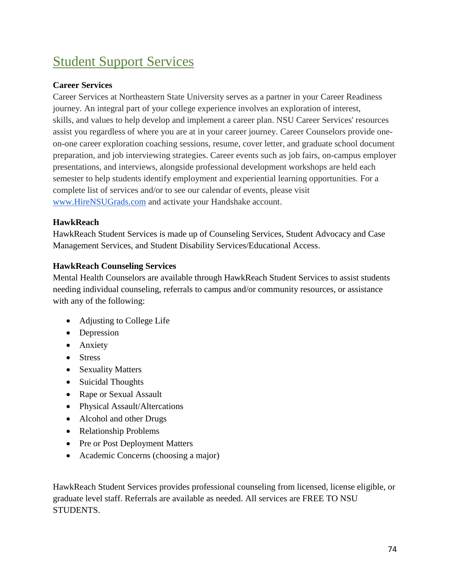# Student Support Services

# **Career Services**

Career Services at Northeastern State University serves as a partner in your Career Readiness journey. An integral part of your college experience involves an exploration of interest, skills, and values to help develop and implement a career plan. NSU Career Services' resources assist you regardless of where you are at in your career journey. Career Counselors provide oneon-one career exploration coaching sessions, resume, cover letter, and graduate school document preparation, and job interviewing strategies. Career events such as job fairs, on-campus employer presentations, and interviews, alongside professional development workshops are held each semester to help students identify employment and experiential learning opportunities. For a complete list of services and/or to see our calendar of events, please visit [www.HireNSUGrads.com](http://www.hirensugrads.com/) and activate your Handshake account.

## **HawkReach**

HawkReach Student Services is made up of Counseling Services, Student Advocacy and Case Management Services, and Student Disability Services/Educational Access.

## **HawkReach Counseling Services**

Mental Health Counselors are available through HawkReach Student Services to assist students needing individual counseling, referrals to campus and/or community resources, or assistance with any of the following:

- Adjusting to College Life
- Depression
- Anxiety
- Stress
- Sexuality Matters
- Suicidal Thoughts
- Rape or Sexual Assault
- Physical Assault/Altercations
- Alcohol and other Drugs
- Relationship Problems
- Pre or Post Deployment Matters
- Academic Concerns (choosing a major)

HawkReach Student Services provides professional counseling from licensed, license eligible, or graduate level staff. Referrals are available as needed. All services are FREE TO NSU STUDENTS.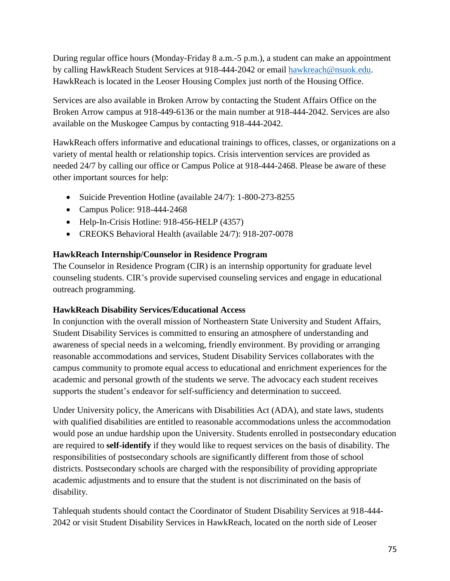During regular office hours (Monday-Friday 8 a.m.-5 p.m.), a student can make an appointment by calling HawkReach Student Services at 918-444-2042 or email [hawkreach@nsuok.edu.](mailto:hawkreach@nsuok.edu) HawkReach is located in the Leoser Housing Complex just north of the Housing Office.

Services are also available in Broken Arrow by contacting the Student Affairs Office on the Broken Arrow campus at 918-449-6136 or the main number at 918-444-2042. Services are also available on the Muskogee Campus by contacting 918-444-2042.

HawkReach offers informative and educational trainings to offices, classes, or organizations on a variety of mental health or relationship topics. Crisis intervention services are provided as needed 24/7 by calling our office or Campus Police at 918-444-2468. Please be aware of these other important sources for help:

- Suicide Prevention Hotline (available 24/7): 1-800-273-8255
- Campus Police: 918-444-2468
- Help-In-Crisis Hotline: 918-456-HELP (4357)
- CREOKS Behavioral Health (available 24/7): 918-207-0078

# **HawkReach Internship/Counselor in Residence Program**

The Counselor in Residence Program (CIR) is an internship opportunity for graduate level counseling students. CIR's provide supervised counseling services and engage in educational outreach programming.

# **HawkReach Disability Services/Educational Access**

In conjunction with the overall mission of Northeastern State University and Student Affairs, Student Disability Services is committed to ensuring an atmosphere of understanding and awareness of special needs in a welcoming, friendly environment. By providing or arranging reasonable accommodations and services, Student Disability Services collaborates with the campus community to promote equal access to educational and enrichment experiences for the academic and personal growth of the students we serve. The advocacy each student receives supports the student's endeavor for self-sufficiency and determination to succeed.

Under University policy, the Americans with Disabilities Act (ADA), and state laws, students with qualified disabilities are entitled to reasonable accommodations unless the accommodation would pose an undue hardship upon the University. Students enrolled in postsecondary education are required to **self-identify** if they would like to request services on the basis of disability. The responsibilities of postsecondary schools are significantly different from those of school districts. Postsecondary schools are charged with the responsibility of providing appropriate academic adjustments and to ensure that the student is not discriminated on the basis of disability.

Tahlequah students should contact the Coordinator of Student Disability Services at 918-444- 2042 or visit Student Disability Services in HawkReach, located on the north side of Leoser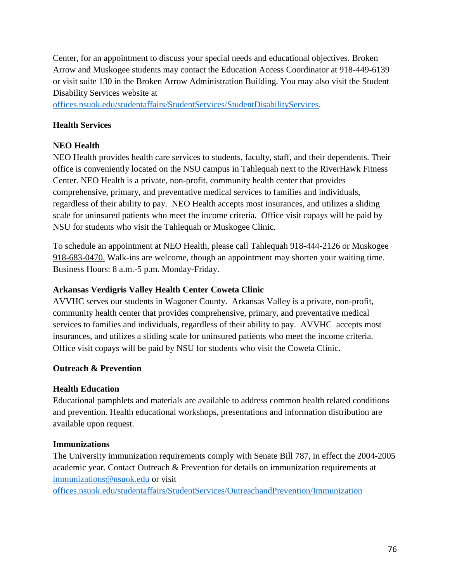Center, for an appointment to discuss your special needs and educational objectives. Broken Arrow and Muskogee students may contact the Education Access Coordinator at 918-449-6139 or visit suite 130 in the Broken Arrow Administration Building. You may also visit the Student Disability Services website at

[offices.nsuok.edu/studentaffairs/StudentServices/StudentDisabilityServices.](https://offices.nsuok.edu/studentaffairs/StudentServices/StudentDisabilityServices.aspx)

#### **Health Services**

# **NEO Health**

NEO Health provides health care services to students, faculty, staff, and their dependents. Their office is conveniently located on the NSU campus in Tahlequah next to the RiverHawk Fitness Center. NEO Health is a private, non-profit, community health center that provides comprehensive, primary, and preventative medical services to families and individuals, regardless of their ability to pay. NEO Health accepts most insurances, and utilizes a sliding scale for uninsured patients who meet the income criteria. Office visit copays will be paid by NSU for students who visit the Tahlequah or Muskogee Clinic.

To schedule an appointment at NEO Health, please call Tahlequah 918-444-2126 or Muskogee 918-683-0470. Walk-ins are welcome, though an appointment may shorten your waiting time. Business Hours: 8 a.m.-5 p.m. Monday-Friday.

#### **Arkansas Verdigris Valley Health Center Coweta Clinic**

AVVHC serves our students in Wagoner County. Arkansas Valley is a private, non-profit, community health center that provides comprehensive, primary, and preventative medical services to families and individuals, regardless of their ability to pay. AVVHC accepts most insurances, and utilizes a sliding scale for uninsured patients who meet the income criteria. Office visit copays will be paid by NSU for students who visit the Coweta Clinic.

#### **Outreach & Prevention**

#### **Health Education**

Educational pamphlets and materials are available to address common health related conditions and prevention. Health educational workshops, presentations and information distribution are available upon request.

#### **Immunizations**

The University immunization requirements comply with Senate Bill 787, in effect the 2004-2005 academic year. Contact Outreach & Prevention for details on immunization requirements at [immunizations@nsuok.edu](mailto:immunizations@nsuok.edu) or visit

[offices.nsuok.edu/studentaffairs/StudentServices/OutreachandPrevention/Immunization](https://offices.nsuok.edu/studentaffairs/StudentServices/OutreachandPrevention/Immunization.aspx)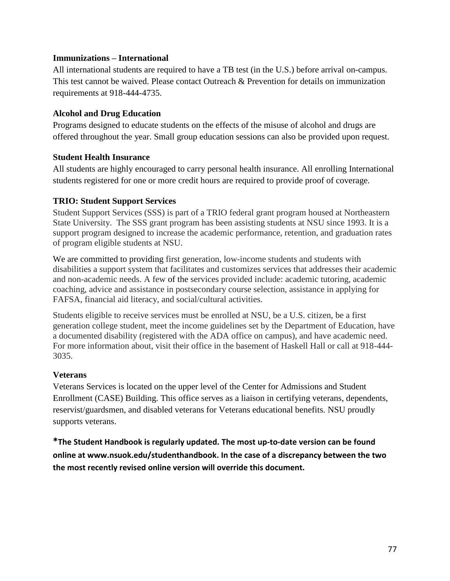#### **Immunizations – International**

All international students are required to have a TB test (in the U.S.) before arrival on-campus. This test cannot be waived. Please contact Outreach & Prevention for details on immunization requirements at 918-444-4735.

#### **Alcohol and Drug Education**

Programs designed to educate students on the effects of the misuse of alcohol and drugs are offered throughout the year. Small group education sessions can also be provided upon request.

#### **Student Health Insurance**

All students are highly encouraged to carry personal health insurance. All enrolling International students registered for one or more credit hours are required to provide proof of coverage.

#### **TRIO: Student Support Services**

Student Support Services (SSS) is part of a TRIO federal grant program housed at Northeastern State University. The SSS grant program has been assisting students at NSU since 1993. It is a support program designed to increase the academic performance, retention, and graduation rates of program eligible students at NSU.

We are committed to providing first generation, low-income students and students with disabilities a support system that facilitates and customizes services that addresses their academic and non-academic needs. A few of the services provided include: academic tutoring, academic coaching, advice and assistance in postsecondary course selection, assistance in applying for FAFSA, financial aid literacy, and social/cultural activities.

Students eligible to receive services must be enrolled at NSU, be a U.S. citizen, be a first generation college student, meet the income guidelines set by the Department of Education, have a documented disability (registered with the ADA office on campus), and have academic need. For more information about, visit their office in the basement of Haskell Hall or call at 918-444- 3035.

#### **Veterans**

Veterans Services is located on the upper level of the Center for Admissions and Student Enrollment (CASE) Building. This office serves as a liaison in certifying veterans, dependents, reservist/guardsmen, and disabled veterans for Veterans educational benefits. NSU proudly supports veterans.

**\*The Student Handbook is regularly updated. The most up-to-date version can be found online at [www.nsuok.edu/studenthandbook.](http://www.nsuok.edu/studenthandbook) In the case of a discrepancy between the two the most recently revised online version will override this document.**